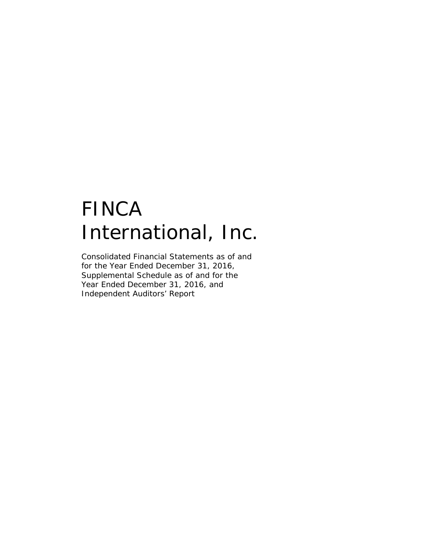# FINCA International, Inc.

Consolidated Financial Statements as of and for the Year Ended December 31, 2016, Supplemental Schedule as of and for the Year Ended December 31, 2016, and Independent Auditors' Report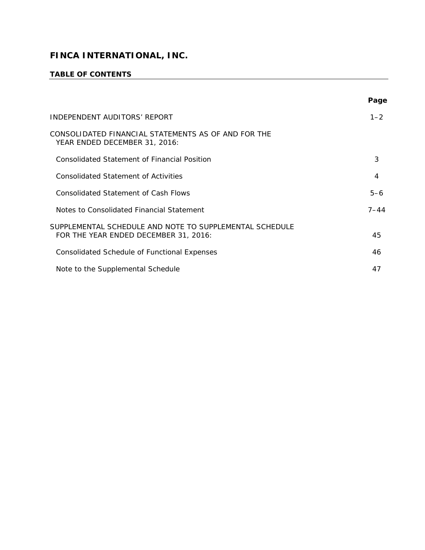# **TABLE OF CONTENTS**

|                                                                                                  | Page     |
|--------------------------------------------------------------------------------------------------|----------|
| INDEPENDENT AUDITORS' REPORT                                                                     | $1 - 2$  |
| CONSOLIDATED FINANCIAL STATEMENTS AS OF AND FOR THE<br>YEAR ENDED DECEMBER 31, 2016:             |          |
| Consolidated Statement of Financial Position                                                     | 3        |
| <b>Consolidated Statement of Activities</b>                                                      | 4        |
| Consolidated Statement of Cash Flows                                                             | $5 - 6$  |
| Notes to Consolidated Financial Statement                                                        | $7 - 44$ |
| SUPPLEMENTAL SCHEDULE AND NOTE TO SUPPLEMENTAL SCHEDULE<br>FOR THE YEAR ENDED DECEMBER 31, 2016: | 45       |
| <b>Consolidated Schedule of Functional Expenses</b>                                              | 46       |
| Note to the Supplemental Schedule                                                                | 47       |

<u> 1989 - Johann Stoff, fransk politik (f. 1989)</u>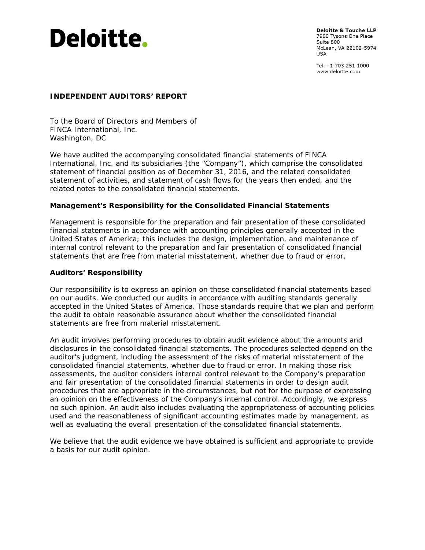

**Deloitte & Touche LLP** 7900 Tysons One Place Suite 800 McLean, VA 22102-5974 **USA** 

Tel: +1 703 251 1000 www.deloitte.com

#### **INDEPENDENT AUDITORS' REPORT**

To the Board of Directors and Members of FINCA International, Inc. Washington, DC

We have audited the accompanying consolidated financial statements of FINCA International, Inc. and its subsidiaries (the "Company"), which comprise the consolidated statement of financial position as of December 31, 2016, and the related consolidated statement of activities, and statement of cash flows for the years then ended, and the related notes to the consolidated financial statements.

#### **Management's Responsibility for the Consolidated Financial Statements**

Management is responsible for the preparation and fair presentation of these consolidated financial statements in accordance with accounting principles generally accepted in the United States of America; this includes the design, implementation, and maintenance of internal control relevant to the preparation and fair presentation of consolidated financial statements that are free from material misstatement, whether due to fraud or error.

#### **Auditors' Responsibility**

Our responsibility is to express an opinion on these consolidated financial statements based on our audits. We conducted our audits in accordance with auditing standards generally accepted in the United States of America. Those standards require that we plan and perform the audit to obtain reasonable assurance about whether the consolidated financial statements are free from material misstatement.

An audit involves performing procedures to obtain audit evidence about the amounts and disclosures in the consolidated financial statements. The procedures selected depend on the auditor's judgment, including the assessment of the risks of material misstatement of the consolidated financial statements, whether due to fraud or error. In making those risk assessments, the auditor considers internal control relevant to the Company's preparation and fair presentation of the consolidated financial statements in order to design audit procedures that are appropriate in the circumstances, but not for the purpose of expressing an opinion on the effectiveness of the Company's internal control. Accordingly, we express no such opinion. An audit also includes evaluating the appropriateness of accounting policies used and the reasonableness of significant accounting estimates made by management, as well as evaluating the overall presentation of the consolidated financial statements.

We believe that the audit evidence we have obtained is sufficient and appropriate to provide a basis for our audit opinion.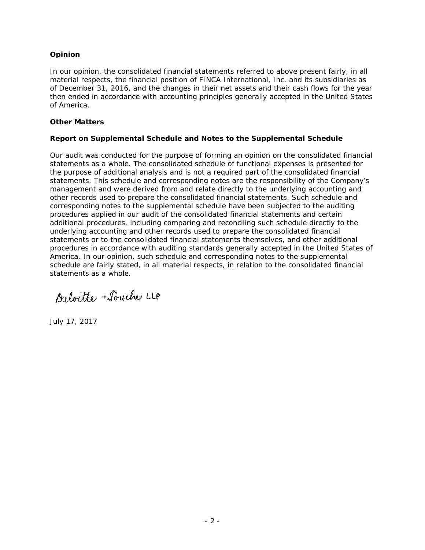#### **Opinion**

In our opinion, the consolidated financial statements referred to above present fairly, in all material respects, the financial position of FINCA International, Inc. and its subsidiaries as of December 31, 2016, and the changes in their net assets and their cash flows for the year then ended in accordance with accounting principles generally accepted in the United States of America.

#### **Other Matters**

#### *Report on Supplemental Schedule and Notes to the Supplemental Schedule*

Our audit was conducted for the purpose of forming an opinion on the consolidated financial statements as a whole. The consolidated schedule of functional expenses is presented for the purpose of additional analysis and is not a required part of the consolidated financial statements. This schedule and corresponding notes are the responsibility of the Company's management and were derived from and relate directly to the underlying accounting and other records used to prepare the consolidated financial statements. Such schedule and corresponding notes to the supplemental schedule have been subjected to the auditing procedures applied in our audit of the consolidated financial statements and certain additional procedures, including comparing and reconciling such schedule directly to the underlying accounting and other records used to prepare the consolidated financial statements or to the consolidated financial statements themselves, and other additional procedures in accordance with auditing standards generally accepted in the United States of America. In our opinion, such schedule and corresponding notes to the supplemental schedule are fairly stated, in all material respects, in relation to the consolidated financial statements as a whole.

Deloitte + Souche LLP

July 17, 2017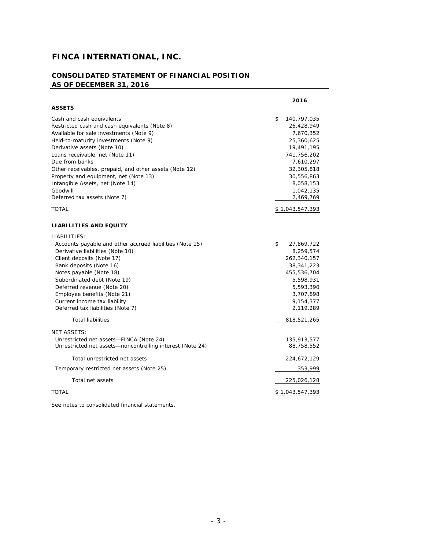#### **CONSOLIDATED STATEMENT OF FINANCIAL POSITION AS OF DECEMBER 31, 2016**

|                                                                                                                                                                                                                                                                                                                                                                                                       | 2016                                                                                                                                                       |
|-------------------------------------------------------------------------------------------------------------------------------------------------------------------------------------------------------------------------------------------------------------------------------------------------------------------------------------------------------------------------------------------------------|------------------------------------------------------------------------------------------------------------------------------------------------------------|
| <b>ASSETS</b>                                                                                                                                                                                                                                                                                                                                                                                         |                                                                                                                                                            |
| Cash and cash equivalents<br>Restricted cash and cash equivalents (Note 8)<br>Available for sale investments (Note 9)<br>Held-to-maturity investments (Note 9)<br>Derivative assets (Note 10)<br>Loans receivable, net (Note 11)<br>Due from banks<br>Other receivables, prepaid, and other assets (Note 12)<br>Property and equipment, net (Note 13)<br>Intangible Assets, net (Note 14)<br>Goodwill | \$<br>140,797,035<br>26,428,949<br>7,670,352<br>25,360,625<br>19,491,195<br>741,756,202<br>7,610,297<br>32,305,818<br>30,556,863<br>8,058,153<br>1,042,135 |
| Deferred tax assets (Note 7)                                                                                                                                                                                                                                                                                                                                                                          | 2,469,769                                                                                                                                                  |
| TOTAL                                                                                                                                                                                                                                                                                                                                                                                                 | \$1,043,547,393                                                                                                                                            |
| <b>LIABILITIES AND EQUITY</b>                                                                                                                                                                                                                                                                                                                                                                         |                                                                                                                                                            |
| LIABILITIES:<br>Accounts payable and other accrued liabilities (Note 15)<br>Derivative liabilities (Note 10)<br>Client deposits (Note 17)<br>Bank deposits (Note 16)<br>Notes payable (Note 18)<br>Subordinated debt (Note 19)<br>Deferred revenue (Note 20)<br>Employee benefits (Note 21)<br>Current income tax liability<br>Deferred tax liabilities (Note 7)<br><b>Total liabilities</b>          | \$<br>27,869,722<br>8,259,574<br>262,340,157<br>38,341,223<br>455,536,704<br>5,598,931<br>5,593,390<br>3,707,898<br>9,154,377<br>2,119,289<br>818,521,265  |
| <b>NET ASSETS:</b><br>Unrestricted net assets-FINCA (Note 24)<br>Unrestricted net assets-noncontrolling interest (Note 24)                                                                                                                                                                                                                                                                            | 135,913,577<br>88,758,552                                                                                                                                  |
| Total unrestricted net assets                                                                                                                                                                                                                                                                                                                                                                         | 224,672,129                                                                                                                                                |
| Temporary restricted net assets (Note 25)                                                                                                                                                                                                                                                                                                                                                             | 353,999                                                                                                                                                    |
| Total net assets                                                                                                                                                                                                                                                                                                                                                                                      | 225,026,128                                                                                                                                                |
| <b>TOTAL</b>                                                                                                                                                                                                                                                                                                                                                                                          | \$ 1,043,547,393                                                                                                                                           |

See notes to consolidated financial statements.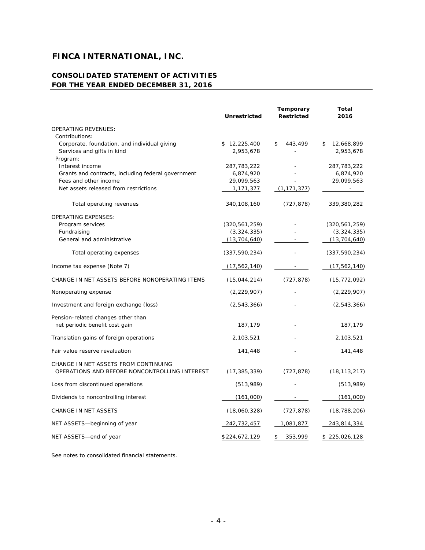#### **CONSOLIDATED STATEMENT OF ACTIVITIES FOR THE YEAR ENDED DECEMBER 31, 2016**

|                                                                       | <b>Unrestricted</b>      | Temporary<br><b>Restricted</b> | Total<br>2016            |
|-----------------------------------------------------------------------|--------------------------|--------------------------------|--------------------------|
| <b>OPERATING REVENUES:</b>                                            |                          |                                |                          |
| Contributions:                                                        |                          |                                |                          |
| Corporate, foundation, and individual giving                          | \$12,225,400             | \$<br>443,499                  | 12,668,899<br>\$         |
| Services and gifts in kind                                            | 2,953,678                |                                | 2,953,678                |
| Program:                                                              |                          |                                |                          |
| Interest income<br>Grants and contracts, including federal government | 287,783,222<br>6,874,920 |                                | 287,783,222<br>6,874,920 |
| Fees and other income                                                 | 29,099,563               |                                | 29,099,563               |
| Net assets released from restrictions                                 | 1,171,377                | (1, 171, 377)                  | $\overline{\phantom{a}}$ |
| Total operating revenues                                              | 340,108,160              | (727, 878)                     | 339,380,282              |
| <b>OPERATING EXPENSES:</b>                                            |                          |                                |                          |
| Program services                                                      | (320, 561, 259)          |                                | (320, 561, 259)          |
| Fundraising                                                           | (3,324,335)              |                                | (3,324,335)              |
| General and administrative                                            | (13, 704, 640)           |                                | (13, 704, 640)           |
| Total operating expenses                                              | (337, 590, 234)          |                                | (337, 590, 234)          |
| Income tax expense (Note 7)                                           | (17, 562, 140)           |                                | (17, 562, 140)           |
| CHANGE IN NET ASSETS BEFORE NONOPERATING ITEMS                        | (15,044,214)             | (727, 878)                     | (15, 772, 092)           |
| Nonoperating expense                                                  | (2, 229, 907)            |                                | (2, 229, 907)            |
| Investment and foreign exchange (loss)                                | (2,543,366)              |                                | (2, 543, 366)            |
| Pension-related changes other than                                    |                          |                                |                          |
| net periodic benefit cost gain                                        | 187,179                  |                                | 187,179                  |
| Translation gains of foreign operations                               | 2,103,521                |                                | 2,103,521                |
| Fair value reserve revaluation                                        | 141,448                  |                                | 141,448                  |
| CHANGE IN NET ASSETS FROM CONTINUING                                  |                          |                                |                          |
| OPERATIONS AND BEFORE NONCONTROLLING INTEREST                         | (17, 385, 339)           | (727, 878)                     | (18, 113, 217)           |
| Loss from discontinued operations                                     | (513,989)                |                                | (513,989)                |
| Dividends to noncontrolling interest                                  | (161,000)                |                                | (161,000)                |
| <b>CHANGE IN NET ASSETS</b>                                           | (18,060,328)             | (727, 878)                     | (18, 788, 206)           |
| NET ASSETS-beginning of year                                          | 242,732,457              | 1,081,877                      | 243,814,334              |
| NET ASSETS-end of year                                                | \$224,672,129            | 353,999<br>\$                  | \$225,026,128            |

See notes to consolidated financial statements.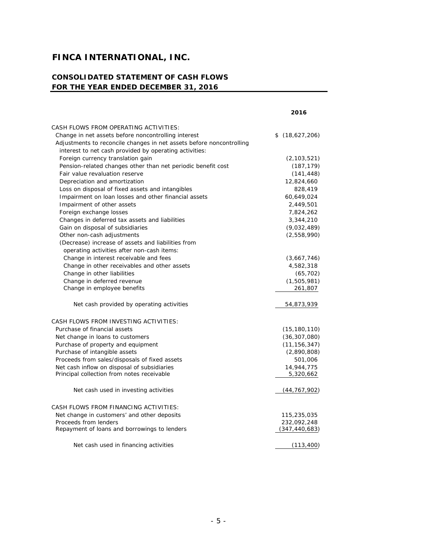# **CONSOLIDATED STATEMENT OF CASH FLOWS FOR THE YEAR ENDED DECEMBER 31, 2016**

|                                                                      | 2016               |
|----------------------------------------------------------------------|--------------------|
| CASH FLOWS FROM OPERATING ACTIVITIES:                                |                    |
| Change in net assets before noncontrolling interest                  | \$<br>(18,627,206) |
| Adjustments to reconcile changes in net assets before noncontrolling |                    |
| interest to net cash provided by operating activities:               |                    |
| Foreign currency translation gain                                    | (2, 103, 521)      |
| Pension-related changes other than net periodic benefit cost         | (187, 179)         |
| Fair value revaluation reserve                                       | (141, 448)         |
| Depreciation and amortization                                        | 12,824,660         |
| Loss on disposal of fixed assets and intangibles                     | 828,419            |
| Impairment on loan losses and other financial assets                 | 60,649,024         |
| Impairment of other assets                                           | 2,449,501          |
| Foreign exchange losses                                              | 7,824,262          |
| Changes in deferred tax assets and liabilities                       | 3,344,210          |
| Gain on disposal of subsidiaries                                     | (9,032,489)        |
| Other non-cash adjustments                                           | (2,558,990)        |
| (Decrease) increase of assets and liabilities from                   |                    |
| operating activities after non-cash items:                           |                    |
| Change in interest receivable and fees                               | (3,667,746)        |
| Change in other receivables and other assets                         | 4,582,318          |
| Change in other liabilities                                          | (65, 702)          |
| Change in deferred revenue                                           | (1,505,981)        |
| Change in employee benefits                                          | 261,807            |
| Net cash provided by operating activities                            | 54,873,939         |
| CASH FLOWS FROM INVESTING ACTIVITIES:                                |                    |
| Purchase of financial assets                                         | (15, 180, 110)     |
| Net change in loans to customers                                     | (36, 307, 080)     |
| Purchase of property and equipment                                   | (11, 156, 347)     |
| Purchase of intangible assets                                        | (2,890,808)        |
| Proceeds from sales/disposals of fixed assets                        | 501,006            |
| Net cash inflow on disposal of subsidiaries                          | 14,944,775         |
| Principal collection from notes receivable                           | 5,320,662          |
| Net cash used in investing activities                                | (44, 767, 902)     |
| CASH FLOWS FROM FINANCING ACTIVITIES:                                |                    |
| Net change in customers' and other deposits                          | 115,235,035        |
| Proceeds from lenders                                                | 232,092,248        |
| Repayment of loans and borrowings to lenders                         | (347, 440, 683)    |
| Net cash used in financing activities                                | (113, 400)         |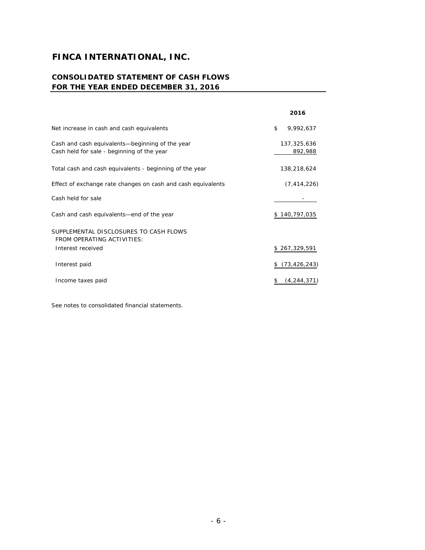# **CONSOLIDATED STATEMENT OF CASH FLOWS FOR THE YEAR ENDED DECEMBER 31, 2016**

|                                                                                               | 2016                   |
|-----------------------------------------------------------------------------------------------|------------------------|
| Net increase in cash and cash equivalents                                                     | \$<br>9,992,637        |
| Cash and cash equivalents—beginning of the year<br>Cash held for sale - beginning of the year | 137,325,636<br>892,988 |
| Total cash and cash equivalents - beginning of the year                                       | 138,218,624            |
| Effect of exchange rate changes on cash and cash equivalents                                  | (7, 414, 226)          |
| Cash held for sale                                                                            |                        |
| Cash and cash equivalents—end of the year                                                     | \$140,797,035          |
| SUPPLEMENTAL DISCLOSURES TO CASH FLOWS<br>FROM OPERATING ACTIVITIES:                          |                        |
| Interest received                                                                             | \$267,329,591          |
| Interest paid                                                                                 | (73, 426, 243)<br>\$.  |
| Income taxes paid                                                                             | (4, 244, 371)          |

See notes to consolidated financial statements.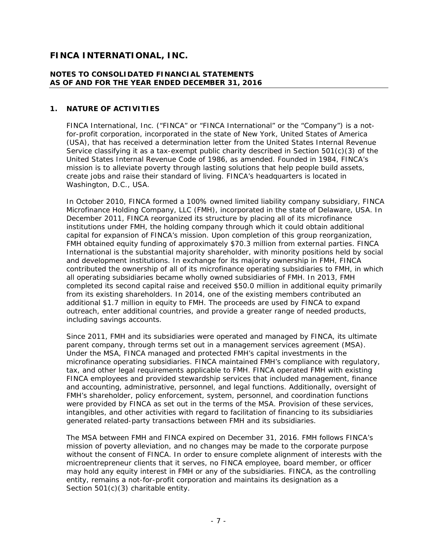#### **NOTES TO CONSOLIDATED FINANCIAL STATEMENTS AS OF AND FOR THE YEAR ENDED DECEMBER 31, 2016**

#### **1. NATURE OF ACTIVITIES**

FINCA International, Inc. ("FINCA" or "FINCA International" or the "Company") is a notfor-profit corporation, incorporated in the state of New York, United States of America (USA), that has received a determination letter from the United States Internal Revenue Service classifying it as a tax-exempt public charity described in Section 501(c)(3) of the United States Internal Revenue Code of 1986, as amended. Founded in 1984, FINCA's mission is to alleviate poverty through lasting solutions that help people build assets, create jobs and raise their standard of living. FINCA's headquarters is located in Washington, D.C., USA.

In October 2010, FINCA formed a 100% owned limited liability company subsidiary, FINCA Microfinance Holding Company, LLC (FMH), incorporated in the state of Delaware, USA. In December 2011, FINCA reorganized its structure by placing all of its microfinance institutions under FMH, the holding company through which it could obtain additional capital for expansion of FINCA's mission. Upon completion of this group reorganization, FMH obtained equity funding of approximately \$70.3 million from external parties. FINCA International is the substantial majority shareholder, with minority positions held by social and development institutions. In exchange for its majority ownership in FMH, FINCA contributed the ownership of all of its microfinance operating subsidiaries to FMH, in which all operating subsidiaries became wholly owned subsidiaries of FMH. In 2013, FMH completed its second capital raise and received \$50.0 million in additional equity primarily from its existing shareholders. In 2014, one of the existing members contributed an additional \$1.7 million in equity to FMH. The proceeds are used by FINCA to expand outreach, enter additional countries, and provide a greater range of needed products, including savings accounts.

Since 2011, FMH and its subsidiaries were operated and managed by FINCA, its ultimate parent company, through terms set out in a management services agreement (MSA). Under the MSA, FINCA managed and protected FMH's capital investments in the microfinance operating subsidiaries. FINCA maintained FMH's compliance with regulatory, tax, and other legal requirements applicable to FMH. FINCA operated FMH with existing FINCA employees and provided stewardship services that included management, finance and accounting, administrative, personnel, and legal functions. Additionally, oversight of FMH's shareholder, policy enforcement, system, personnel, and coordination functions were provided by FINCA as set out in the terms of the MSA. Provision of these services, intangibles, and other activities with regard to facilitation of financing to its subsidiaries generated related-party transactions between FMH and its subsidiaries.

The MSA between FMH and FINCA expired on December 31, 2016. FMH follows FINCA's mission of poverty alleviation, and no changes may be made to the corporate purpose without the consent of FINCA. In order to ensure complete alignment of interests with the microentrepreneur clients that it serves, no FINCA employee, board member, or officer may hold any equity interest in FMH or any of the subsidiaries. FINCA, as the controlling entity, remains a not-for-profit corporation and maintains its designation as a Section 501(c)(3) charitable entity.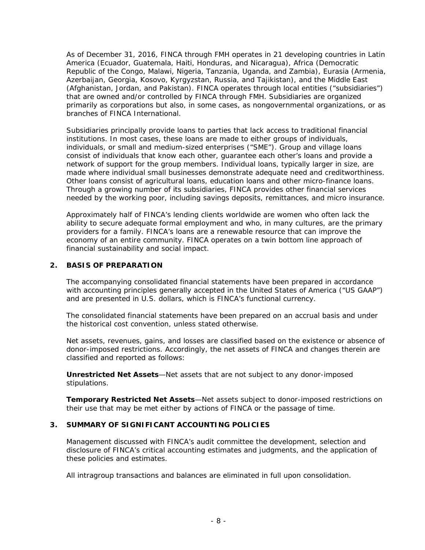As of December 31, 2016, FINCA through FMH operates in 21 developing countries in Latin America (Ecuador, Guatemala, Haiti, Honduras, and Nicaragua), Africa (Democratic Republic of the Congo, Malawi, Nigeria, Tanzania, Uganda, and Zambia), Eurasia (Armenia, Azerbaijan, Georgia, Kosovo, Kyrgyzstan, Russia, and Tajikistan), and the Middle East (Afghanistan, Jordan, and Pakistan). FINCA operates through local entities ("subsidiaries") that are owned and/or controlled by FINCA through FMH. Subsidiaries are organized primarily as corporations but also, in some cases, as nongovernmental organizations, or as branches of FINCA International.

Subsidiaries principally provide loans to parties that lack access to traditional financial institutions. In most cases, these loans are made to either groups of individuals, individuals, or small and medium-sized enterprises ("SME"). Group and village loans consist of individuals that know each other, guarantee each other's loans and provide a network of support for the group members. Individual loans, typically larger in size, are made where individual small businesses demonstrate adequate need and creditworthiness. Other loans consist of agricultural loans, education loans and other micro-finance loans. Through a growing number of its subsidiaries, FINCA provides other financial services needed by the working poor, including savings deposits, remittances, and micro insurance.

Approximately half of FINCA's lending clients worldwide are women who often lack the ability to secure adequate formal employment and who, in many cultures, are the primary providers for a family. FINCA's loans are a renewable resource that can improve the economy of an entire community. FINCA operates on a twin bottom line approach of financial sustainability and social impact.

#### **2. BASIS OF PREPARATION**

The accompanying consolidated financial statements have been prepared in accordance with accounting principles generally accepted in the United States of America ("US GAAP") and are presented in U.S. dollars, which is FINCA's functional currency.

The consolidated financial statements have been prepared on an accrual basis and under the historical cost convention, unless stated otherwise.

Net assets, revenues, gains, and losses are classified based on the existence or absence of donor-imposed restrictions. Accordingly, the net assets of FINCA and changes therein are classified and reported as follows:

*Unrestricted Net Assets*—Net assets that are not subject to any donor-imposed stipulations.

*Temporary Restricted Net Assets*—Net assets subject to donor-imposed restrictions on their use that may be met either by actions of FINCA or the passage of time.

#### **3. SUMMARY OF SIGNIFICANT ACCOUNTING POLICIES**

Management discussed with FINCA's audit committee the development, selection and disclosure of FINCA's critical accounting estimates and judgments, and the application of these policies and estimates.

All intragroup transactions and balances are eliminated in full upon consolidation.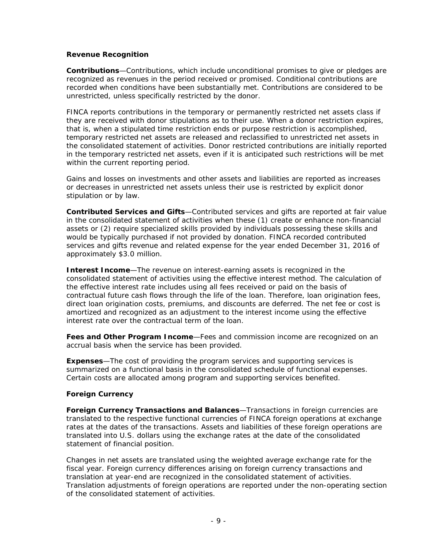#### **Revenue Recognition**

*Contributions*—Contributions, which include unconditional promises to give or pledges are recognized as revenues in the period received or promised. Conditional contributions are recorded when conditions have been substantially met. Contributions are considered to be unrestricted, unless specifically restricted by the donor.

FINCA reports contributions in the temporary or permanently restricted net assets class if they are received with donor stipulations as to their use. When a donor restriction expires, that is, when a stipulated time restriction ends or purpose restriction is accomplished, temporary restricted net assets are released and reclassified to unrestricted net assets in the consolidated statement of activities. Donor restricted contributions are initially reported in the temporary restricted net assets, even if it is anticipated such restrictions will be met within the current reporting period.

Gains and losses on investments and other assets and liabilities are reported as increases or decreases in unrestricted net assets unless their use is restricted by explicit donor stipulation or by law.

*Contributed Services and Gifts*—Contributed services and gifts are reported at fair value in the consolidated statement of activities when these (1) create or enhance non-financial assets or (2) require specialized skills provided by individuals possessing these skills and would be typically purchased if not provided by donation. FINCA recorded contributed services and gifts revenue and related expense for the year ended December 31, 2016 of approximately \$3.0 million.

**Interest Income**—The revenue on interest-earning assets is recognized in the consolidated statement of activities using the effective interest method. The calculation of the effective interest rate includes using all fees received or paid on the basis of contractual future cash flows through the life of the loan. Therefore, loan origination fees, direct loan origination costs, premiums, and discounts are deferred. The net fee or cost is amortized and recognized as an adjustment to the interest income using the effective interest rate over the contractual term of the loan.

*Fees and Other Program Income*—Fees and commission income are recognized on an accrual basis when the service has been provided.

**Expenses**—The cost of providing the program services and supporting services is summarized on a functional basis in the consolidated schedule of functional expenses. Certain costs are allocated among program and supporting services benefited.

#### **Foreign Currency**

*Foreign Currency Transactions and Balances*—Transactions in foreign currencies are translated to the respective functional currencies of FINCA foreign operations at exchange rates at the dates of the transactions. Assets and liabilities of these foreign operations are translated into U.S. dollars using the exchange rates at the date of the consolidated statement of financial position.

Changes in net assets are translated using the weighted average exchange rate for the fiscal year. Foreign currency differences arising on foreign currency transactions and translation at year-end are recognized in the consolidated statement of activities. Translation adjustments of foreign operations are reported under the non-operating section of the consolidated statement of activities.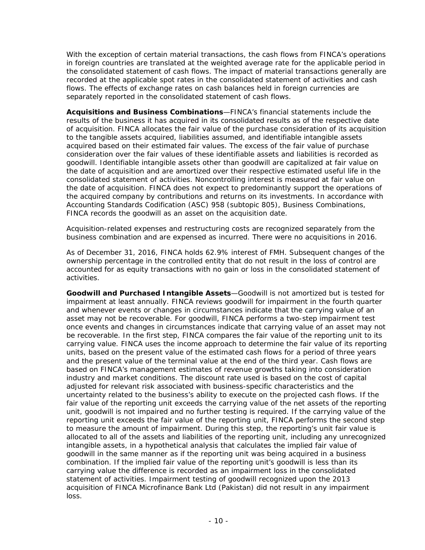With the exception of certain material transactions, the cash flows from FINCA's operations in foreign countries are translated at the weighted average rate for the applicable period in the consolidated statement of cash flows. The impact of material transactions generally are recorded at the applicable spot rates in the consolidated statement of activities and cash flows. The effects of exchange rates on cash balances held in foreign currencies are separately reported in the consolidated statement of cash flows.

**Acquisitions and Business Combinations**—FINCA's financial statements include the results of the business it has acquired in its consolidated results as of the respective date of acquisition. FINCA allocates the fair value of the purchase consideration of its acquisition to the tangible assets acquired, liabilities assumed, and identifiable intangible assets acquired based on their estimated fair values. The excess of the fair value of purchase consideration over the fair values of these identifiable assets and liabilities is recorded as goodwill. Identifiable intangible assets other than goodwill are capitalized at fair value on the date of acquisition and are amortized over their respective estimated useful life in the consolidated statement of activities. Noncontrolling interest is measured at fair value on the date of acquisition. FINCA does not expect to predominantly support the operations of the acquired company by contributions and returns on its investments. In accordance with Accounting Standards Codification (ASC) 958 (subtopic 805), *Business Combinations*, FINCA records the goodwill as an asset on the acquisition date.

Acquisition-related expenses and restructuring costs are recognized separately from the business combination and are expensed as incurred. There were no acquisitions in 2016.

As of December 31, 2016, FINCA holds 62.9% interest of FMH. Subsequent changes of the ownership percentage in the controlled entity that do not result in the loss of control are accounted for as equity transactions with no gain or loss in the consolidated statement of activities.

**Goodwill and Purchased Intangible Assets**—Goodwill is not amortized but is tested for impairment at least annually. FINCA reviews goodwill for impairment in the fourth quarter and whenever events or changes in circumstances indicate that the carrying value of an asset may not be recoverable. For goodwill, FINCA performs a two-step impairment test once events and changes in circumstances indicate that carrying value of an asset may not be recoverable. In the first step, FINCA compares the fair value of the reporting unit to its carrying value. FINCA uses the income approach to determine the fair value of its reporting units, based on the present value of the estimated cash flows for a period of three years and the present value of the terminal value at the end of the third year. Cash flows are based on FINCA's management estimates of revenue growths taking into consideration industry and market conditions. The discount rate used is based on the cost of capital adjusted for relevant risk associated with business-specific characteristics and the uncertainty related to the business's ability to execute on the projected cash flows. If the fair value of the reporting unit exceeds the carrying value of the net assets of the reporting unit, goodwill is not impaired and no further testing is required. If the carrying value of the reporting unit exceeds the fair value of the reporting unit, FINCA performs the second step to measure the amount of impairment. During this step, the reporting's unit fair value is allocated to all of the assets and liabilities of the reporting unit, including any unrecognized intangible assets, in a hypothetical analysis that calculates the implied fair value of goodwill in the same manner as if the reporting unit was being acquired in a business combination. If the implied fair value of the reporting unit's goodwill is less than its carrying value the difference is recorded as an impairment loss in the consolidated statement of activities. Impairment testing of goodwill recognized upon the 2013 acquisition of FINCA Microfinance Bank Ltd (Pakistan) did not result in any impairment loss.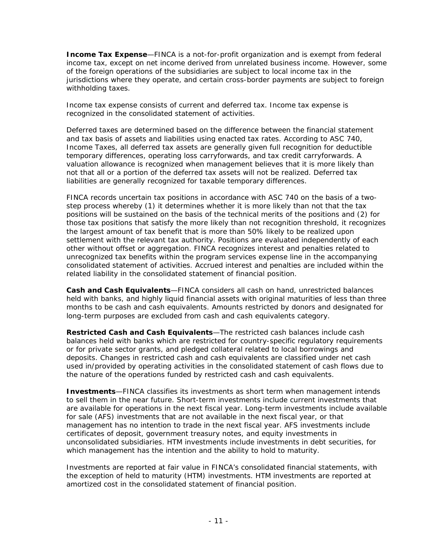**Income Tax Expense**—FINCA is a not-for-profit organization and is exempt from federal income tax, except on net income derived from unrelated business income. However, some of the foreign operations of the subsidiaries are subject to local income tax in the jurisdictions where they operate, and certain cross-border payments are subject to foreign withholding taxes.

Income tax expense consists of current and deferred tax. Income tax expense is recognized in the consolidated statement of activities.

Deferred taxes are determined based on the difference between the financial statement and tax basis of assets and liabilities using enacted tax rates. According to ASC 740, *Income Taxes*, all deferred tax assets are generally given full recognition for deductible temporary differences, operating loss carryforwards, and tax credit carryforwards. A valuation allowance is recognized when management believes that it is more likely than not that all or a portion of the deferred tax assets will not be realized. Deferred tax liabilities are generally recognized for taxable temporary differences.

FINCA records uncertain tax positions in accordance with ASC 740 on the basis of a twostep process whereby (1) it determines whether it is more likely than not that the tax positions will be sustained on the basis of the technical merits of the positions and (2) for those tax positions that satisfy the more likely than not recognition threshold, it recognizes the largest amount of tax benefit that is more than 50% likely to be realized upon settlement with the relevant tax authority. Positions are evaluated independently of each other without offset or aggregation. FINCA recognizes interest and penalties related to unrecognized tax benefits within the program services expense line in the accompanying consolidated statement of activities. Accrued interest and penalties are included within the related liability in the consolidated statement of financial position.

**Cash and Cash Equivalents**—FINCA considers all cash on hand, unrestricted balances held with banks, and highly liquid financial assets with original maturities of less than three months to be cash and cash equivalents. Amounts restricted by donors and designated for long-term purposes are excluded from cash and cash equivalents category.

**Restricted Cash and Cash Equivalents**—The restricted cash balances include cash balances held with banks which are restricted for country-specific regulatory requirements or for private sector grants, and pledged collateral related to local borrowings and deposits. Changes in restricted cash and cash equivalents are classified under net cash used in/provided by operating activities in the consolidated statement of cash flows due to the nature of the operations funded by restricted cash and cash equivalents.

**Investments**—FINCA classifies its investments as short term when management intends to sell them in the near future. Short-term investments include current investments that are available for operations in the next fiscal year. Long-term investments include available for sale (AFS) investments that are not available in the next fiscal year, or that management has no intention to trade in the next fiscal year. AFS investments include certificates of deposit, government treasury notes, and equity investments in unconsolidated subsidiaries. HTM investments include investments in debt securities, for which management has the intention and the ability to hold to maturity.

Investments are reported at fair value in FINCA's consolidated financial statements, with the exception of held to maturity (HTM) investments. HTM investments are reported at amortized cost in the consolidated statement of financial position.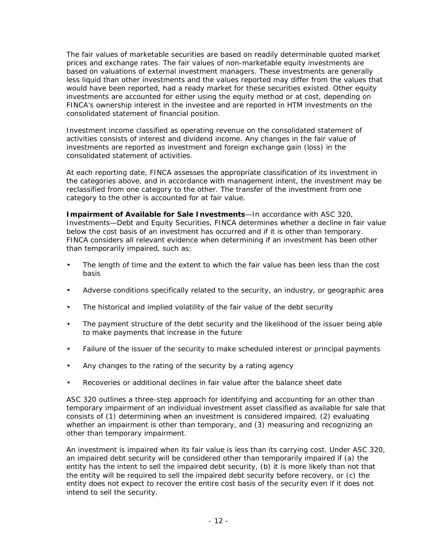The fair values of marketable securities are based on readily determinable quoted market prices and exchange rates. The fair values of non-marketable equity investments are based on valuations of external investment managers. These investments are generally less liquid than other investments and the values reported may differ from the values that would have been reported, had a ready market for these securities existed. Other equity investments are accounted for either using the equity method or at cost, depending on FINCA's ownership interest in the investee and are reported in HTM investments on the consolidated statement of financial position.

Investment income classified as operating revenue on the consolidated statement of activities consists of interest and dividend income. Any changes in the fair value of investments are reported as investment and foreign exchange gain (loss) in the consolidated statement of activities.

At each reporting date, FINCA assesses the appropriate classification of its investment in the categories above, and in accordance with management intent, the investment may be reclassified from one category to the other. The transfer of the investment from one category to the other is accounted for at fair value.

**Impairment of Available for Sale Investments**—In accordance with ASC 320, *Investments*—*Debt and Equity Securities*, FINCA determines whether a decline in fair value below the cost basis of an investment has occurred and if it is other than temporary. FINCA considers all relevant evidence when determining if an investment has been other than temporarily impaired, such as:

- The length of time and the extent to which the fair value has been less than the cost basis
- Adverse conditions specifically related to the security, an industry, or geographic area
- The historical and implied volatility of the fair value of the debt security
- The payment structure of the debt security and the likelihood of the issuer being able to make payments that increase in the future
- Failure of the issuer of the security to make scheduled interest or principal payments
- Any changes to the rating of the security by a rating agency
- Recoveries or additional declines in fair value after the balance sheet date

ASC 320 outlines a three-step approach for identifying and accounting for an other than temporary impairment of an individual investment asset classified as available for sale that consists of (1) determining when an investment is considered impaired, (2) evaluating whether an impairment is other than temporary, and (3) measuring and recognizing an other than temporary impairment.

An investment is impaired when its fair value is less than its carrying cost. Under ASC 320, an impaired debt security will be considered other than temporarily impaired if (a) the entity has the intent to sell the impaired debt security, (b) it is more likely than not that the entity will be required to sell the impaired debt security before recovery, or (c) the entity does not expect to recover the entire cost basis of the security even if it does not intend to sell the security.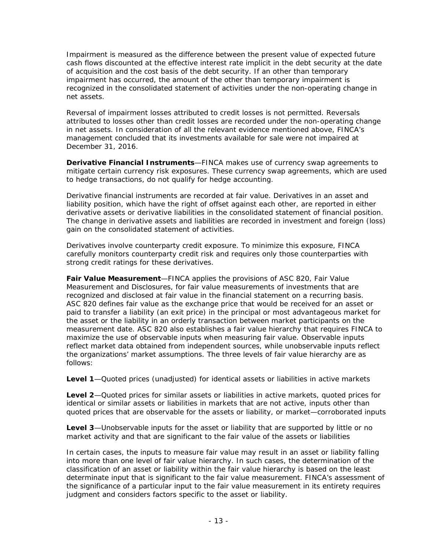Impairment is measured as the difference between the present value of expected future cash flows discounted at the effective interest rate implicit in the debt security at the date of acquisition and the cost basis of the debt security. If an other than temporary impairment has occurred, the amount of the other than temporary impairment is recognized in the consolidated statement of activities under the non-operating change in net assets.

Reversal of impairment losses attributed to credit losses is not permitted. Reversals attributed to losses other than credit losses are recorded under the non-operating change in net assets. In consideration of all the relevant evidence mentioned above, FINCA's management concluded that its investments available for sale were not impaired at December 31, 2016.

**Derivative Financial Instruments**—FINCA makes use of currency swap agreements to mitigate certain currency risk exposures. These currency swap agreements, which are used to hedge transactions, do not qualify for hedge accounting.

Derivative financial instruments are recorded at fair value. Derivatives in an asset and liability position, which have the right of offset against each other, are reported in either derivative assets or derivative liabilities in the consolidated statement of financial position. The change in derivative assets and liabilities are recorded in investment and foreign (loss) gain on the consolidated statement of activities.

Derivatives involve counterparty credit exposure. To minimize this exposure, FINCA carefully monitors counterparty credit risk and requires only those counterparties with strong credit ratings for these derivatives.

**Fair Value Measurement**—FINCA applies the provisions of ASC 820, *Fair Value Measurement and Disclosures*, for fair value measurements of investments that are recognized and disclosed at fair value in the financial statement on a recurring basis. ASC 820 defines fair value as the exchange price that would be received for an asset or paid to transfer a liability (an exit price) in the principal or most advantageous market for the asset or the liability in an orderly transaction between market participants on the measurement date. ASC 820 also establishes a fair value hierarchy that requires FINCA to maximize the use of observable inputs when measuring fair value. Observable inputs reflect market data obtained from independent sources, while unobservable inputs reflect the organizations' market assumptions. The three levels of fair value hierarchy are as follows:

*Level 1*—Quoted prices (unadjusted) for identical assets or liabilities in active markets

*Level 2*—Quoted prices for similar assets or liabilities in active markets, quoted prices for identical or similar assets or liabilities in markets that are not active, inputs other than quoted prices that are observable for the assets or liability, or market—corroborated inputs

*Level 3*—Unobservable inputs for the asset or liability that are supported by little or no market activity and that are significant to the fair value of the assets or liabilities

In certain cases, the inputs to measure fair value may result in an asset or liability falling into more than one level of fair value hierarchy. In such cases, the determination of the classification of an asset or liability within the fair value hierarchy is based on the least determinate input that is significant to the fair value measurement. FINCA's assessment of the significance of a particular input to the fair value measurement in its entirety requires judgment and considers factors specific to the asset or liability.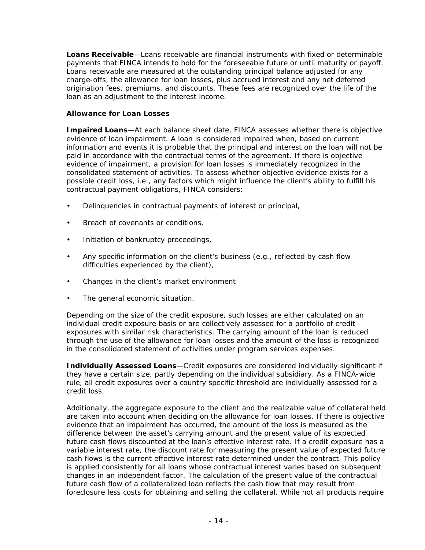**Loans Receivable**—Loans receivable are financial instruments with fixed or determinable payments that FINCA intends to hold for the foreseeable future or until maturity or payoff. Loans receivable are measured at the outstanding principal balance adjusted for any charge-offs, the allowance for loan losses, plus accrued interest and any net deferred origination fees, premiums, and discounts. These fees are recognized over the life of the loan as an adjustment to the interest income.

#### **Allowance for Loan Losses**

*Impaired Loans*—At each balance sheet date, FINCA assesses whether there is objective evidence of loan impairment. A loan is considered impaired when, based on current information and events it is probable that the principal and interest on the loan will not be paid in accordance with the contractual terms of the agreement. If there is objective evidence of impairment, a provision for loan losses is immediately recognized in the consolidated statement of activities. To assess whether objective evidence exists for a possible credit loss, i.e., any factors which might influence the client's ability to fulfill his contractual payment obligations, FINCA considers:

- Delinquencies in contractual payments of interest or principal,
- Breach of covenants or conditions.
- Initiation of bankruptcy proceedings,
- Any specific information on the client's business (e.g., reflected by cash flow difficulties experienced by the client),
- Changes in the client's market environment
- The general economic situation.

Depending on the size of the credit exposure, such losses are either calculated on an individual credit exposure basis or are collectively assessed for a portfolio of credit exposures with similar risk characteristics. The carrying amount of the loan is reduced through the use of the allowance for loan losses and the amount of the loss is recognized in the consolidated statement of activities under program services expenses.

*Individually Assessed Loans*—Credit exposures are considered individually significant if they have a certain size, partly depending on the individual subsidiary. As a FINCA-wide rule, all credit exposures over a country specific threshold are individually assessed for a credit loss.

Additionally, the aggregate exposure to the client and the realizable value of collateral held are taken into account when deciding on the allowance for loan losses. If there is objective evidence that an impairment has occurred, the amount of the loss is measured as the difference between the asset's carrying amount and the present value of its expected future cash flows discounted at the loan's effective interest rate. If a credit exposure has a variable interest rate, the discount rate for measuring the present value of expected future cash flows is the current effective interest rate determined under the contract. This policy is applied consistently for all loans whose contractual interest varies based on subsequent changes in an independent factor. The calculation of the present value of the contractual future cash flow of a collateralized loan reflects the cash flow that may result from foreclosure less costs for obtaining and selling the collateral. While not all products require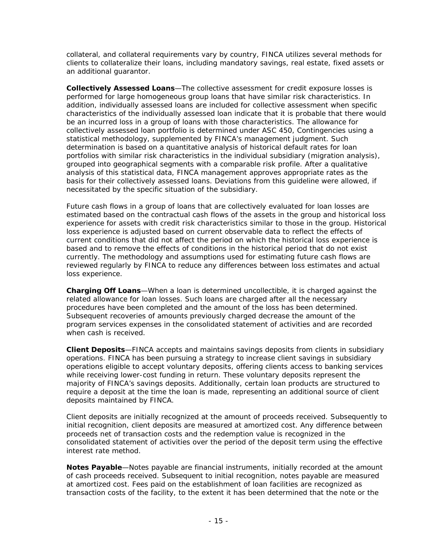collateral, and collateral requirements vary by country, FINCA utilizes several methods for clients to collateralize their loans, including mandatory savings, real estate, fixed assets or an additional guarantor.

*Collectively Assessed Loans*—The collective assessment for credit exposure losses is performed for large homogeneous group loans that have similar risk characteristics. In addition, individually assessed loans are included for collective assessment when specific characteristics of the individually assessed loan indicate that it is probable that there would be an incurred loss in a group of loans with those characteristics. The allowance for collectively assessed loan portfolio is determined under ASC 450, *Contingencies* using a statistical methodology, supplemented by FINCA's management judgment. Such determination is based on a quantitative analysis of historical default rates for loan portfolios with similar risk characteristics in the individual subsidiary (migration analysis), grouped into geographical segments with a comparable risk profile. After a qualitative analysis of this statistical data, FINCA management approves appropriate rates as the basis for their collectively assessed loans. Deviations from this guideline were allowed, if necessitated by the specific situation of the subsidiary.

Future cash flows in a group of loans that are collectively evaluated for loan losses are estimated based on the contractual cash flows of the assets in the group and historical loss experience for assets with credit risk characteristics similar to those in the group. Historical loss experience is adjusted based on current observable data to reflect the effects of current conditions that did not affect the period on which the historical loss experience is based and to remove the effects of conditions in the historical period that do not exist currently. The methodology and assumptions used for estimating future cash flows are reviewed regularly by FINCA to reduce any differences between loss estimates and actual loss experience.

*Charging Off Loans*—When a loan is determined uncollectible, it is charged against the related allowance for loan losses. Such loans are charged after all the necessary procedures have been completed and the amount of the loss has been determined. Subsequent recoveries of amounts previously charged decrease the amount of the program services expenses in the consolidated statement of activities and are recorded when cash is received.

**Client Deposits**—FINCA accepts and maintains savings deposits from clients in subsidiary operations. FINCA has been pursuing a strategy to increase client savings in subsidiary operations eligible to accept voluntary deposits, offering clients access to banking services while receiving lower-cost funding in return. These voluntary deposits represent the majority of FINCA's savings deposits. Additionally, certain loan products are structured to require a deposit at the time the loan is made, representing an additional source of client deposits maintained by FINCA.

Client deposits are initially recognized at the amount of proceeds received. Subsequently to initial recognition, client deposits are measured at amortized cost. Any difference between proceeds net of transaction costs and the redemption value is recognized in the consolidated statement of activities over the period of the deposit term using the effective interest rate method.

**Notes Payable**—Notes payable are financial instruments, initially recorded at the amount of cash proceeds received. Subsequent to initial recognition, notes payable are measured at amortized cost. Fees paid on the establishment of loan facilities are recognized as transaction costs of the facility, to the extent it has been determined that the note or the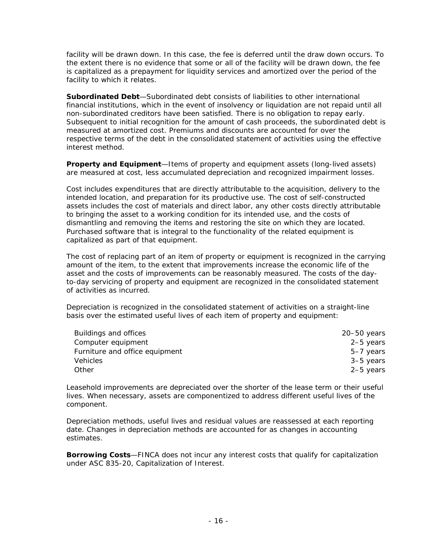facility will be drawn down. In this case, the fee is deferred until the draw down occurs. To the extent there is no evidence that some or all of the facility will be drawn down, the fee is capitalized as a prepayment for liquidity services and amortized over the period of the facility to which it relates.

**Subordinated Debt**—Subordinated debt consists of liabilities to other international financial institutions, which in the event of insolvency or liquidation are not repaid until all non-subordinated creditors have been satisfied. There is no obligation to repay early. Subsequent to initial recognition for the amount of cash proceeds, the subordinated debt is measured at amortized cost. Premiums and discounts are accounted for over the respective terms of the debt in the consolidated statement of activities using the effective interest method.

**Property and Equipment**—Items of property and equipment assets (long-lived assets) are measured at cost, less accumulated depreciation and recognized impairment losses.

Cost includes expenditures that are directly attributable to the acquisition, delivery to the intended location, and preparation for its productive use. The cost of self-constructed assets includes the cost of materials and direct labor, any other costs directly attributable to bringing the asset to a working condition for its intended use, and the costs of dismantling and removing the items and restoring the site on which they are located. Purchased software that is integral to the functionality of the related equipment is capitalized as part of that equipment.

The cost of replacing part of an item of property or equipment is recognized in the carrying amount of the item, to the extent that improvements increase the economic life of the asset and the costs of improvements can be reasonably measured. The costs of the dayto-day servicing of property and equipment are recognized in the consolidated statement of activities as incurred.

Depreciation is recognized in the consolidated statement of activities on a straight-line basis over the estimated useful lives of each item of property and equipment:

| Buildings and offices          | $20 - 50$ years |
|--------------------------------|-----------------|
| Computer equipment             | 2-5 years       |
| Furniture and office equipment | 5-7 years       |
| <b>Vehicles</b>                | 3–5 years       |
| Other                          | 2-5 years       |

Leasehold improvements are depreciated over the shorter of the lease term or their useful lives. When necessary, assets are componentized to address different useful lives of the component.

Depreciation methods, useful lives and residual values are reassessed at each reporting date. Changes in depreciation methods are accounted for as changes in accounting estimates.

**Borrowing Costs**—FINCA does not incur any interest costs that qualify for capitalization under ASC 835-20, *Capitalization of Interest*.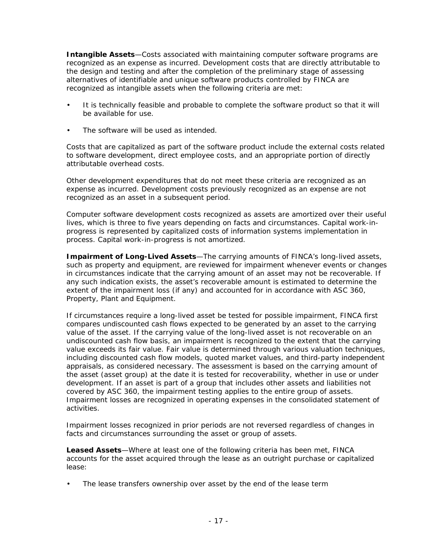**Intangible Assets**—Costs associated with maintaining computer software programs are recognized as an expense as incurred. Development costs that are directly attributable to the design and testing and after the completion of the preliminary stage of assessing alternatives of identifiable and unique software products controlled by FINCA are recognized as intangible assets when the following criteria are met:

- It is technically feasible and probable to complete the software product so that it will be available for use.
- The software will be used as intended.

Costs that are capitalized as part of the software product include the external costs related to software development, direct employee costs, and an appropriate portion of directly attributable overhead costs.

Other development expenditures that do not meet these criteria are recognized as an expense as incurred. Development costs previously recognized as an expense are not recognized as an asset in a subsequent period.

Computer software development costs recognized as assets are amortized over their useful lives, which is three to five years depending on facts and circumstances. Capital work-inprogress is represented by capitalized costs of information systems implementation in process. Capital work-in-progress is not amortized.

**Impairment of Long-Lived Assets**—The carrying amounts of FINCA's long-lived assets, such as property and equipment, are reviewed for impairment whenever events or changes in circumstances indicate that the carrying amount of an asset may not be recoverable. If any such indication exists, the asset's recoverable amount is estimated to determine the extent of the impairment loss (if any) and accounted for in accordance with ASC 360, *Property, Plant and Equipment*.

If circumstances require a long-lived asset be tested for possible impairment, FINCA first compares undiscounted cash flows expected to be generated by an asset to the carrying value of the asset. If the carrying value of the long-lived asset is not recoverable on an undiscounted cash flow basis, an impairment is recognized to the extent that the carrying value exceeds its fair value. Fair value is determined through various valuation techniques, including discounted cash flow models, quoted market values, and third-party independent appraisals, as considered necessary. The assessment is based on the carrying amount of the asset (asset group) at the date it is tested for recoverability, whether in use or under development. If an asset is part of a group that includes other assets and liabilities not covered by ASC 360, the impairment testing applies to the entire group of assets. Impairment losses are recognized in operating expenses in the consolidated statement of activities.

Impairment losses recognized in prior periods are not reversed regardless of changes in facts and circumstances surrounding the asset or group of assets.

**Leased Assets**—Where at least one of the following criteria has been met, FINCA accounts for the asset acquired through the lease as an outright purchase or capitalized lease:

The lease transfers ownership over asset by the end of the lease term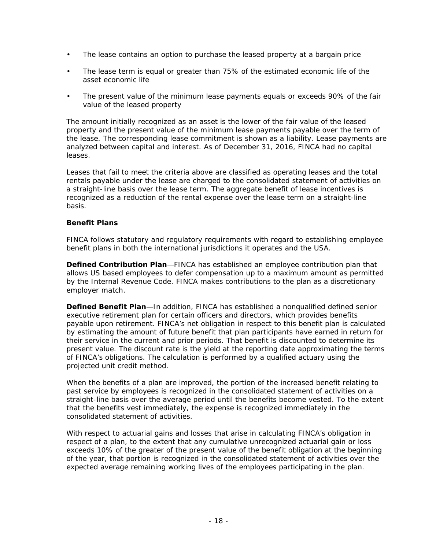- The lease contains an option to purchase the leased property at a bargain price
- The lease term is equal or greater than 75% of the estimated economic life of the asset economic life
- The present value of the minimum lease payments equals or exceeds 90% of the fair value of the leased property

The amount initially recognized as an asset is the lower of the fair value of the leased property and the present value of the minimum lease payments payable over the term of the lease. The corresponding lease commitment is shown as a liability. Lease payments are analyzed between capital and interest. As of December 31, 2016, FINCA had no capital leases.

Leases that fail to meet the criteria above are classified as operating leases and the total rentals payable under the lease are charged to the consolidated statement of activities on a straight-line basis over the lease term. The aggregate benefit of lease incentives is recognized as a reduction of the rental expense over the lease term on a straight-line basis.

#### **Benefit Plans**

FINCA follows statutory and regulatory requirements with regard to establishing employee benefit plans in both the international jurisdictions it operates and the USA.

*Defined Contribution Plan*—FINCA has established an employee contribution plan that allows US based employees to defer compensation up to a maximum amount as permitted by the Internal Revenue Code. FINCA makes contributions to the plan as a discretionary employer match.

**Defined Benefit Plan**—In addition, FINCA has established a nonqualified defined senior executive retirement plan for certain officers and directors, which provides benefits payable upon retirement. FINCA's net obligation in respect to this benefit plan is calculated by estimating the amount of future benefit that plan participants have earned in return for their service in the current and prior periods. That benefit is discounted to determine its present value. The discount rate is the yield at the reporting date approximating the terms of FINCA's obligations. The calculation is performed by a qualified actuary using the projected unit credit method.

When the benefits of a plan are improved, the portion of the increased benefit relating to past service by employees is recognized in the consolidated statement of activities on a straight-line basis over the average period until the benefits become vested. To the extent that the benefits vest immediately, the expense is recognized immediately in the consolidated statement of activities.

With respect to actuarial gains and losses that arise in calculating FINCA's obligation in respect of a plan, to the extent that any cumulative unrecognized actuarial gain or loss exceeds 10% of the greater of the present value of the benefit obligation at the beginning of the year, that portion is recognized in the consolidated statement of activities over the expected average remaining working lives of the employees participating in the plan.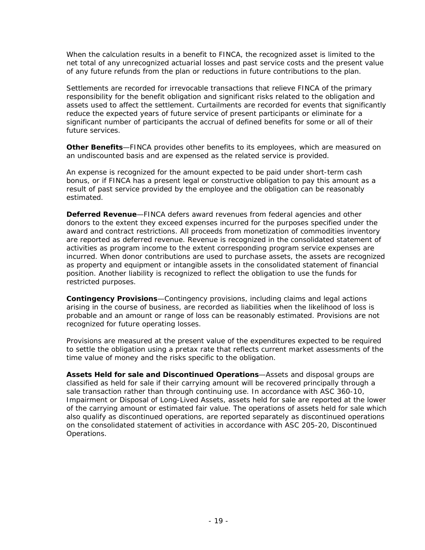When the calculation results in a benefit to FINCA, the recognized asset is limited to the net total of any unrecognized actuarial losses and past service costs and the present value of any future refunds from the plan or reductions in future contributions to the plan.

Settlements are recorded for irrevocable transactions that relieve FINCA of the primary responsibility for the benefit obligation and significant risks related to the obligation and assets used to affect the settlement. Curtailments are recorded for events that significantly reduce the expected years of future service of present participants or eliminate for a significant number of participants the accrual of defined benefits for some or all of their future services.

**Other Benefits**—FINCA provides other benefits to its employees, which are measured on an undiscounted basis and are expensed as the related service is provided.

An expense is recognized for the amount expected to be paid under short-term cash bonus, or if FINCA has a present legal or constructive obligation to pay this amount as a result of past service provided by the employee and the obligation can be reasonably estimated.

**Deferred Revenue**—FINCA defers award revenues from federal agencies and other donors to the extent they exceed expenses incurred for the purposes specified under the award and contract restrictions. All proceeds from monetization of commodities inventory are reported as deferred revenue. Revenue is recognized in the consolidated statement of activities as program income to the extent corresponding program service expenses are incurred. When donor contributions are used to purchase assets, the assets are recognized as property and equipment or intangible assets in the consolidated statement of financial position. Another liability is recognized to reflect the obligation to use the funds for restricted purposes.

**Contingency Provisions**—Contingency provisions, including claims and legal actions arising in the course of business, are recorded as liabilities when the likelihood of loss is probable and an amount or range of loss can be reasonably estimated. Provisions are not recognized for future operating losses.

Provisions are measured at the present value of the expenditures expected to be required to settle the obligation using a pretax rate that reflects current market assessments of the time value of money and the risks specific to the obligation.

**Assets Held for sale and Discontinued Operations**—Assets and disposal groups are classified as held for sale if their carrying amount will be recovered principally through a sale transaction rather than through continuing use. In accordance with ASC 360-10, *Impairment or Disposal of Long-Lived Assets*, assets held for sale are reported at the lower of the carrying amount or estimated fair value. The operations of assets held for sale which also qualify as discontinued operations, are reported separately as discontinued operations on the consolidated statement of activities in accordance with ASC 205-20, *Discontinued Operations*.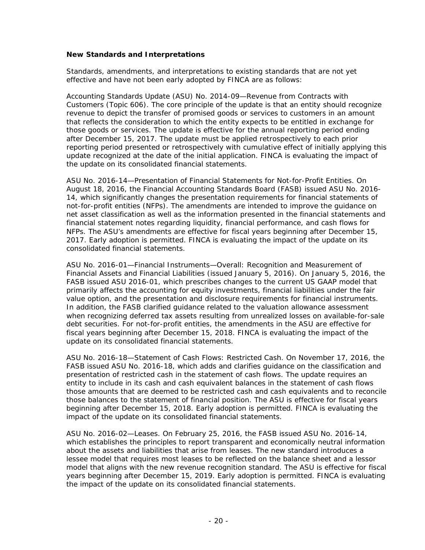#### **New Standards and Interpretations**

Standards, amendments, and interpretations to existing standards that are not yet effective and have not been early adopted by FINCA are as follows:

Accounting Standards Update (ASU) No. 2014-09—*Revenue from Contracts with Customers (Topic 606).* The core principle of the update is that an entity should recognize revenue to depict the transfer of promised goods or services to customers in an amount that reflects the consideration to which the entity expects to be entitled in exchange for those goods or services. The update is effective for the annual reporting period ending after December 15, 2017. The update must be applied retrospectively to each prior reporting period presented or retrospectively with cumulative effect of initially applying this update recognized at the date of the initial application. FINCA is evaluating the impact of the update on its consolidated financial statements.

ASU No. 2016-14—*Presentation of Financial Statements for Not-for-Profit Entities*. On August 18, 2016, the Financial Accounting Standards Board (FASB) issued ASU No. 2016- 14, which significantly changes the presentation requirements for financial statements of not-for-profit entities (NFPs). The amendments are intended to improve the guidance on net asset classification as well as the information presented in the financial statements and financial statement notes regarding liquidity, financial performance, and cash flows for NFPs. The ASU's amendments are effective for fiscal years beginning after December 15, 2017. Early adoption is permitted. FINCA is evaluating the impact of the update on its consolidated financial statements.

ASU No. 2016-01—*Financial Instruments—Overall: Recognition and Measurement of Financial Assets and Financial Liabilities (issued January 5, 2016).* On January 5, 2016, the FASB issued ASU 2016-01, which prescribes changes to the current US GAAP model that primarily affects the accounting for equity investments, financial liabilities under the fair value option, and the presentation and disclosure requirements for financial instruments. In addition, the FASB clarified guidance related to the valuation allowance assessment when recognizing deferred tax assets resulting from unrealized losses on available-for-sale debt securities. For not-for-profit entities, the amendments in the ASU are effective for fiscal years beginning after December 15, 2018. FINCA is evaluating the impact of the update on its consolidated financial statements.

ASU No. 2016-18—*Statement of Cash Flows: Restricted Cash*. On November 17, 2016, the FASB issued ASU No. 2016-18, which adds and clarifies guidance on the classification and presentation of restricted cash in the statement of cash flows. The update requires an entity to include in its cash and cash equivalent balances in the statement of cash flows those amounts that are deemed to be restricted cash and cash equivalents and to reconcile those balances to the statement of financial position. The ASU is effective for fiscal years beginning after December 15, 2018. Early adoption is permitted. FINCA is evaluating the impact of the update on its consolidated financial statements.

ASU No. 2016-02—*Leases*. On February 25, 2016, the FASB issued ASU No. 2016-14, which establishes the principles to report transparent and economically neutral information about the assets and liabilities that arise from leases. The new standard introduces a lessee model that requires most leases to be reflected on the balance sheet and a lessor model that aligns with the new revenue recognition standard. The ASU is effective for fiscal years beginning after December 15, 2019. Early adoption is permitted. FINCA is evaluating the impact of the update on its consolidated financial statements.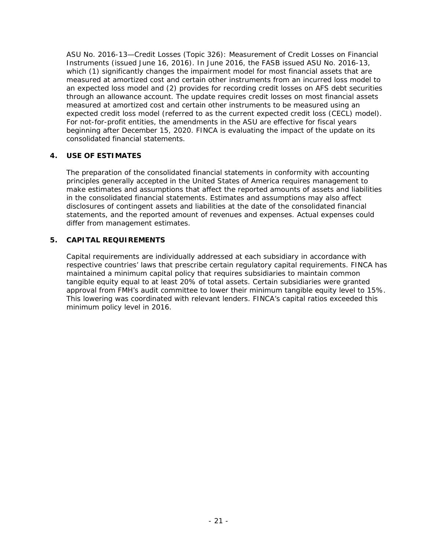ASU No. 2016-13—*Credit Losses (Topic 326): Measurement of Credit Losses on Financial Instruments (issued June 16, 2016).* In June 2016, the FASB issued ASU No. 2016-13, which (1) significantly changes the impairment model for most financial assets that are measured at amortized cost and certain other instruments from an incurred loss model to an expected loss model and (2) provides for recording credit losses on AFS debt securities through an allowance account. The update requires credit losses on most financial assets measured at amortized cost and certain other instruments to be measured using an expected credit loss model (referred to as the current expected credit loss (CECL) model). For not-for-profit entities, the amendments in the ASU are effective for fiscal years beginning after December 15, 2020. FINCA is evaluating the impact of the update on its consolidated financial statements.

#### **4. USE OF ESTIMATES**

The preparation of the consolidated financial statements in conformity with accounting principles generally accepted in the United States of America requires management to make estimates and assumptions that affect the reported amounts of assets and liabilities in the consolidated financial statements. Estimates and assumptions may also affect disclosures of contingent assets and liabilities at the date of the consolidated financial statements, and the reported amount of revenues and expenses. Actual expenses could differ from management estimates.

#### **5. CAPITAL REQUIREMENTS**

Capital requirements are individually addressed at each subsidiary in accordance with respective countries' laws that prescribe certain regulatory capital requirements. FINCA has maintained a minimum capital policy that requires subsidiaries to maintain common tangible equity equal to at least 20% of total assets. Certain subsidiaries were granted approval from FMH's audit committee to lower their minimum tangible equity level to 15%. This lowering was coordinated with relevant lenders. FINCA's capital ratios exceeded this minimum policy level in 2016.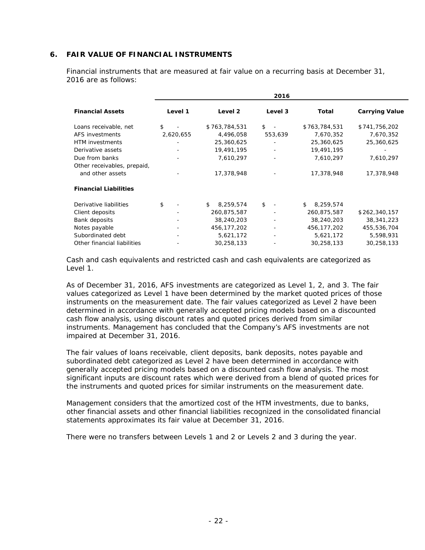#### **6. FAIR VALUE OF FINANCIAL INSTRUMENTS**

Financial instruments that are measured at fair value on a recurring basis at December 31, 2016 are as follows:

| 2016                           |               |                       |
|--------------------------------|---------------|-----------------------|
| Level 3                        | Total         | <b>Carrying Value</b> |
| $s -$                          | \$763,784,531 | \$741,756,202         |
| 553,639                        | 7,670,352     | 7,670,352             |
|                                | 25,360,625    | 25,360,625            |
| $\overline{\phantom{a}}$       | 19,491,195    |                       |
| $\overline{\phantom{a}}$       | 7,610,297     | 7,610,297             |
|                                |               |                       |
|                                | 17,378,948    | 17,378,948            |
|                                |               |                       |
| \$<br>$\overline{\phantom{a}}$ | 8,259,574     |                       |
|                                | 260,875,587   | \$262,340,157         |
| $\overline{\phantom{a}}$       | 38,240,203    | 38, 341, 223          |
| $\overline{\phantom{a}}$       | 456,177,202   | 455,536,704           |
|                                | 5,621,172     | 5,598,931             |
|                                | 30,258,133    | 30,258,133            |
|                                |               |                       |

Cash and cash equivalents and restricted cash and cash equivalents are categorized as Level 1

As of December 31, 2016, AFS investments are categorized as Level 1, 2, and 3. The fair values categorized as Level 1 have been determined by the market quoted prices of those instruments on the measurement date. The fair values categorized as Level 2 have been determined in accordance with generally accepted pricing models based on a discounted cash flow analysis, using discount rates and quoted prices derived from similar instruments. Management has concluded that the Company's AFS investments are not impaired at December 31, 2016.

The fair values of loans receivable, client deposits, bank deposits, notes payable and subordinated debt categorized as Level 2 have been determined in accordance with generally accepted pricing models based on a discounted cash flow analysis. The most significant inputs are discount rates which were derived from a blend of quoted prices for the instruments and quoted prices for similar instruments on the measurement date.

Management considers that the amortized cost of the HTM investments, due to banks, other financial assets and other financial liabilities recognized in the consolidated financial statements approximates its fair value at December 31, 2016.

There were no transfers between Levels 1 and 2 or Levels 2 and 3 during the year.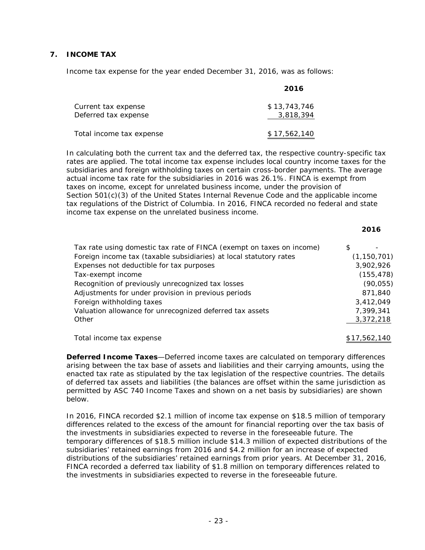#### **7. INCOME TAX**

Income tax expense for the year ended December 31, 2016, was as follows:

|                                             | 2016                      |
|---------------------------------------------|---------------------------|
| Current tax expense<br>Deferred tax expense | \$13.743.746<br>3,818,394 |
| Total income tax expense                    | \$17,562,140              |

In calculating both the current tax and the deferred tax, the respective country-specific tax rates are applied. The total income tax expense includes local country income taxes for the subsidiaries and foreign withholding taxes on certain cross-border payments. The average actual income tax rate for the subsidiaries in 2016 was 26.1%. FINCA is exempt from taxes on income, except for unrelated business income, under the provision of Section 501(c)(3) of the United States Internal Revenue Code and the applicable income tax regulations of the District of Columbia. In 2016, FINCA recorded no federal and state income tax expense on the unrelated business income.

**2016**

| Tax rate using domestic tax rate of FINCA (exempt on taxes on income) | S |               |
|-----------------------------------------------------------------------|---|---------------|
| Foreign income tax (taxable subsidiaries) at local statutory rates    |   | (1, 150, 701) |
| Expenses not deductible for tax purposes                              |   | 3,902,926     |
| Tax-exempt income                                                     |   | (155, 478)    |
| Recognition of previously unrecognized tax losses                     |   | (90, 055)     |
| Adjustments for under provision in previous periods                   |   | 871,840       |
| Foreign withholding taxes                                             |   | 3,412,049     |
| Valuation allowance for unrecognized deferred tax assets              |   | 7,399,341     |
| Other                                                                 |   | 3,372,218     |
|                                                                       |   |               |

Total income tax expense  $$17,562,140$ 

**Deferred Income Taxes**—Deferred income taxes are calculated on temporary differences arising between the tax base of assets and liabilities and their carrying amounts, using the enacted tax rate as stipulated by the tax legislation of the respective countries. The details of deferred tax assets and liabilities (the balances are offset within the same jurisdiction as permitted by ASC 740 *Income Taxes* and shown on a net basis by subsidiaries) are shown below.

In 2016, FINCA recorded \$2.1 million of income tax expense on \$18.5 million of temporary differences related to the excess of the amount for financial reporting over the tax basis of the investments in subsidiaries expected to reverse in the foreseeable future. The temporary differences of \$18.5 million include \$14.3 million of expected distributions of the subsidiaries' retained earnings from 2016 and \$4.2 million for an increase of expected distributions of the subsidiaries' retained earnings from prior years. At December 31, 2016, FINCA recorded a deferred tax liability of \$1.8 million on temporary differences related to the investments in subsidiaries expected to reverse in the foreseeable future.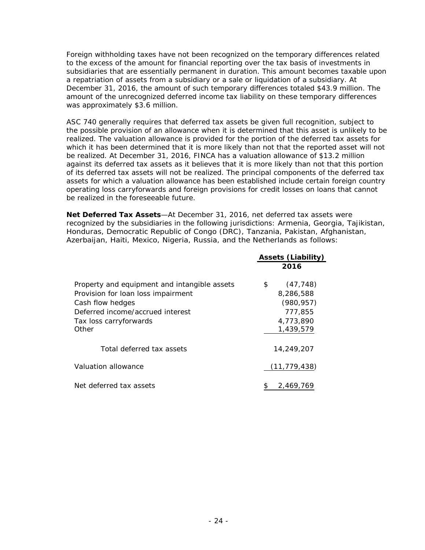Foreign withholding taxes have not been recognized on the temporary differences related to the excess of the amount for financial reporting over the tax basis of investments in subsidiaries that are essentially permanent in duration. This amount becomes taxable upon a repatriation of assets from a subsidiary or a sale or liquidation of a subsidiary. At December 31, 2016, the amount of such temporary differences totaled \$43.9 million. The amount of the unrecognized deferred income tax liability on these temporary differences was approximately \$3.6 million.

ASC 740 generally requires that deferred tax assets be given full recognition, subject to the possible provision of an allowance when it is determined that this asset is unlikely to be realized. The valuation allowance is provided for the portion of the deferred tax assets for which it has been determined that it is more likely than not that the reported asset will not be realized. At December 31, 2016, FINCA has a valuation allowance of \$13.2 million against its deferred tax assets as it believes that it is more likely than not that this portion of its deferred tax assets will not be realized. The principal components of the deferred tax assets for which a valuation allowance has been established include certain foreign country operating loss carryforwards and foreign provisions for credit losses on loans that cannot be realized in the foreseeable future.

**Net Deferred Tax Assets**—At December 31, 2016, net deferred tax assets were recognized by the subsidiaries in the following jurisdictions: Armenia, Georgia, Tajikistan, Honduras, Democratic Republic of Congo (DRC), Tanzania, Pakistan, Afghanistan, Azerbaijan, Haiti, Mexico, Nigeria, Russia, and the Netherlands as follows:

|                                                                                                                                                                               | <b>Assets (Liability)</b>                                                       |
|-------------------------------------------------------------------------------------------------------------------------------------------------------------------------------|---------------------------------------------------------------------------------|
|                                                                                                                                                                               | 2016                                                                            |
| Property and equipment and intangible assets<br>Provision for loan loss impairment<br>Cash flow hedges<br>Deferred income/accrued interest<br>Tax loss carryforwards<br>Other | (47, 748)<br>\$<br>8,286,588<br>(980, 957)<br>777.855<br>4,773,890<br>1,439,579 |
| Total deferred tax assets                                                                                                                                                     | 14,249,207                                                                      |
| Valuation allowance                                                                                                                                                           | (11,779,438)                                                                    |
| Net deferred tax assets                                                                                                                                                       | 2,469,769                                                                       |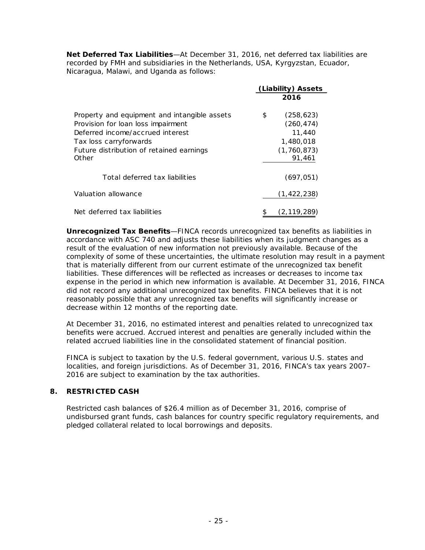**Net Deferred Tax Liabilities**—At December 31, 2016, net deferred tax liabilities are recorded by FMH and subsidiaries in the Netherlands, USA, Kyrgyzstan, Ecuador, Nicaragua, Malawi, and Uganda as follows:

|                                                                                                                                                                                                       | (Liability) Assets |                                                                            |
|-------------------------------------------------------------------------------------------------------------------------------------------------------------------------------------------------------|--------------------|----------------------------------------------------------------------------|
|                                                                                                                                                                                                       |                    | 2016                                                                       |
| Property and equipment and intangible assets<br>Provision for loan loss impairment<br>Deferred income/accrued interest<br>Tax loss carryforwards<br>Future distribution of retained earnings<br>Other | \$                 | (258, 623)<br>(260, 474)<br>11,440<br>1,480,018<br>(1, 760, 873)<br>91.461 |
| Total deferred tax liabilities                                                                                                                                                                        |                    | (697, 051)                                                                 |
| Valuation allowance                                                                                                                                                                                   |                    | (1, 422, 238)                                                              |
| Net deferred tax liabilities                                                                                                                                                                          | \$                 | (2, 119, 289)                                                              |

**Unrecognized Tax Benefits**—FINCA records unrecognized tax benefits as liabilities in accordance with ASC 740 and adjusts these liabilities when its judgment changes as a result of the evaluation of new information not previously available. Because of the complexity of some of these uncertainties, the ultimate resolution may result in a payment that is materially different from our current estimate of the unrecognized tax benefit liabilities. These differences will be reflected as increases or decreases to income tax expense in the period in which new information is available. At December 31, 2016, FINCA did not record any additional unrecognized tax benefits. FINCA believes that it is not reasonably possible that any unrecognized tax benefits will significantly increase or decrease within 12 months of the reporting date.

At December 31, 2016, no estimated interest and penalties related to unrecognized tax benefits were accrued. Accrued interest and penalties are generally included within the related accrued liabilities line in the consolidated statement of financial position.

FINCA is subject to taxation by the U.S. federal government, various U.S. states and localities, and foreign jurisdictions. As of December 31, 2016, FINCA's tax years 2007– 2016 are subject to examination by the tax authorities.

#### **8. RESTRICTED CASH**

Restricted cash balances of \$26.4 million as of December 31, 2016, comprise of undisbursed grant funds, cash balances for country specific regulatory requirements, and pledged collateral related to local borrowings and deposits.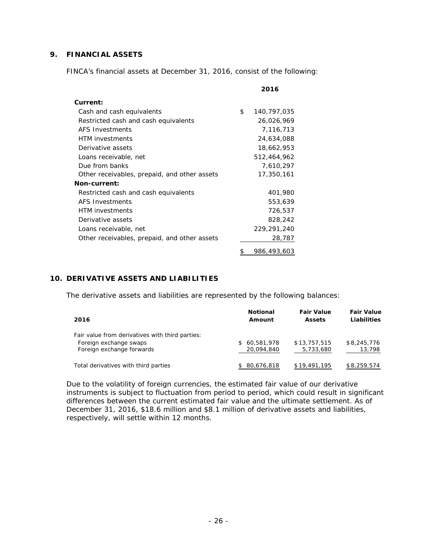#### **9. FINANCIAL ASSETS**

FINCA's financial assets at December 31, 2016, consist of the following:

|                                              | 2016              |
|----------------------------------------------|-------------------|
| Current:                                     |                   |
| Cash and cash equivalents                    | \$<br>140,797,035 |
| Restricted cash and cash equivalents         | 26,026,969        |
| AFS Investments                              | 7,116,713         |
| <b>HTM</b> investments                       | 24,634,088        |
| Derivative assets                            | 18,662,953        |
| Loans receivable, net                        | 512,464,962       |
| Due from banks                               | 7,610,297         |
| Other receivables, prepaid, and other assets | 17,350,161        |
| Non-current:                                 |                   |
| Restricted cash and cash equivalents         | 401,980           |
| <b>AFS Investments</b>                       | 553,639           |
| <b>HTM</b> investments                       | 726,537           |
| Derivative assets                            | 828,242           |
| Loans receivable, net                        | 229,291,240       |
| Other receivables, prepaid, and other assets | 28,787            |
|                                              | \$<br>986,493,603 |

#### **10. DERIVATIVE ASSETS AND LIABILITIES**

The derivative assets and liabilities are represented by the following balances:

| 2016                                                                                                   | <b>Notional</b><br>Amount  | <b>Fair Value</b><br><b>Assets</b> | <b>Fair Value</b><br>Liabilities |
|--------------------------------------------------------------------------------------------------------|----------------------------|------------------------------------|----------------------------------|
| Fair value from derivatives with third parties:<br>Foreign exchange swaps<br>Foreign exchange forwards | \$60,581,978<br>20,094,840 | \$13,757,515<br>5,733,680          | \$8,245,776<br>13,798            |
| Total derivatives with third parties                                                                   | 80,676,818                 | \$19,491,195                       | \$8,259,574                      |

Due to the volatility of foreign currencies, the estimated fair value of our derivative instruments is subject to fluctuation from period to period, which could result in significant differences between the current estimated fair value and the ultimate settlement. As of December 31, 2016, \$18.6 million and \$8.1 million of derivative assets and liabilities, respectively, will settle within 12 months.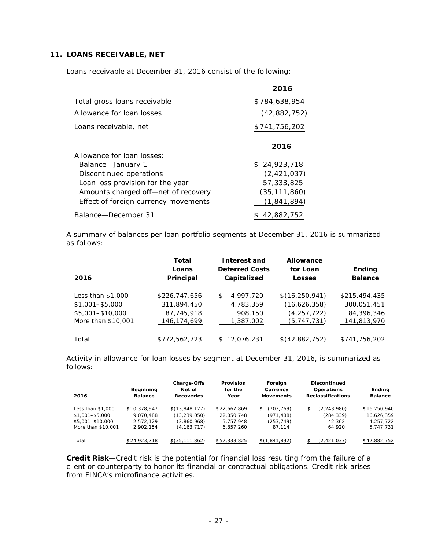#### **11. LOANS RECEIVABLE, NET**

Loans receivable at December 31, 2016 consist of the following:

|                                      | 2016           |
|--------------------------------------|----------------|
| Total gross loans receivable         | \$784,638,954  |
| Allowance for loan losses            | (42,882,752)   |
| Loans receivable, net                | \$741,756,202  |
|                                      | 2016           |
| Allowance for loan losses:           |                |
| Balance-January 1                    | \$24.923.718   |
| Discontinued operations              | (2, 421, 037)  |
| Loan loss provision for the year     | 57,333,825     |
| Amounts charged off-net of recovery  | (35, 111, 860) |
| Effect of foreign currency movements | (1, 841, 894)  |
| Balance-December 31                  | \$42,882,752   |

A summary of balances per loan portfolio segments at December 31, 2016 is summarized as follows:

| 2016                                   | Total<br>Loans<br>Principal | Interest and<br><b>Deferred Costs</b><br>Capitalized | Allowance<br>for Loan<br><b>Losses</b> | Ending<br><b>Balance</b>  |
|----------------------------------------|-----------------------------|------------------------------------------------------|----------------------------------------|---------------------------|
| Less than $$1,000$                     | \$226,747,656               | 4,997,720<br>\$                                      | \$(16, 250, 941)                       | \$215,494,435             |
| $$1,001 - $5,000$                      | 311,894,450                 | 4,783,359                                            | (16,626,358)                           | 300,051,451               |
| \$5,001-\$10,000<br>More than \$10,001 | 87,745,918<br>146,174,699   | 908,150<br>1,387,002                                 | (4, 257, 722)<br>(5, 747, 731)         | 84,396,346<br>141,813,970 |
| Total                                  | \$772,562,723               | 12,076,231                                           | \$(42,882,752)                         | \$741,756,202             |

Activity in allowance for loan losses by segment at December 31, 2016, is summarized as follows:

| 2016                                                                             | Beginning<br><b>Balance</b>                         | <b>Charge-Offs</b><br>Net of<br><b>Recoveries</b>                | Provision<br>for the<br>Year                         | Foreign<br>Currency<br><b>Movements</b>                | <b>Discontinued</b><br>Operations<br><b>Reclassifications</b> | Ending<br><b>Balance</b>                             |
|----------------------------------------------------------------------------------|-----------------------------------------------------|------------------------------------------------------------------|------------------------------------------------------|--------------------------------------------------------|---------------------------------------------------------------|------------------------------------------------------|
| Less than \$1,000<br>$$1.001 - $5.000$<br>\$5,001-\$10,000<br>More than \$10,001 | \$10.378.947<br>9.070.488<br>2.572.129<br>2,902,154 | \$(13,848,127)<br>(13, 239, 050)<br>(3,860,968)<br>(4, 163, 717) | \$22,667,869<br>22.050.748<br>5.757.948<br>6,857,260 | (703.769)<br>\$.<br>(971, 488)<br>(253, 749)<br>87,114 | (2, 243, 980)<br>\$<br>(284,339)<br>42.362<br>64,920          | \$16,250,940<br>16,626,359<br>4,257,722<br>5,747,731 |
| Total                                                                            | \$24,923,718                                        | \$(35, 111, 862)                                                 | \$57,333,825                                         | \$(1,841,892)                                          | (2,421,037)                                                   | \$42,882,752                                         |

**Credit Risk**—Credit risk is the potential for financial loss resulting from the failure of a client or counterparty to honor its financial or contractual obligations. Credit risk arises from FINCA's microfinance activities.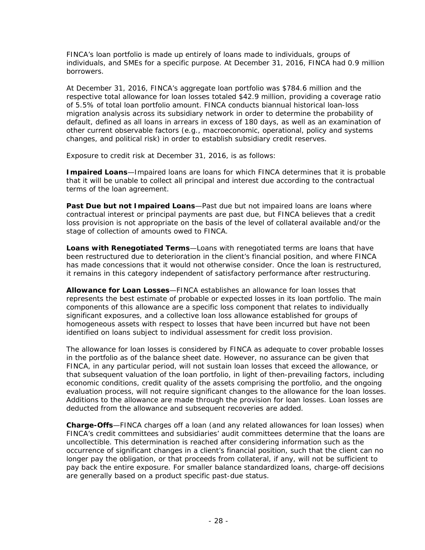FINCA's loan portfolio is made up entirely of loans made to individuals, groups of individuals, and SMEs for a specific purpose. At December 31, 2016, FINCA had 0.9 million borrowers.

At December 31, 2016, FINCA's aggregate loan portfolio was \$784.6 million and the respective total allowance for loan losses totaled \$42.9 million, providing a coverage ratio of 5.5% of total loan portfolio amount. FINCA conducts biannual historical loan-loss migration analysis across its subsidiary network in order to determine the probability of default, defined as all loans in arrears in excess of 180 days, as well as an examination of other current observable factors (e.g., macroeconomic, operational, policy and systems changes, and political risk) in order to establish subsidiary credit reserves.

Exposure to credit risk at December 31, 2016, is as follows:

*Impaired Loans*—Impaired loans are loans for which FINCA determines that it is probable that it will be unable to collect all principal and interest due according to the contractual terms of the loan agreement.

**Past Due but not Impaired Loans**—Past due but not impaired loans are loans where contractual interest or principal payments are past due, but FINCA believes that a credit loss provision is not appropriate on the basis of the level of collateral available and/or the stage of collection of amounts owed to FINCA.

*Loans with Renegotiated Terms*—Loans with renegotiated terms are loans that have been restructured due to deterioration in the client's financial position, and where FINCA has made concessions that it would not otherwise consider. Once the loan is restructured, it remains in this category independent of satisfactory performance after restructuring.

*Allowance for Loan Losses*—FINCA establishes an allowance for loan losses that represents the best estimate of probable or expected losses in its loan portfolio. The main components of this allowance are a specific loss component that relates to individually significant exposures, and a collective loan loss allowance established for groups of homogeneous assets with respect to losses that have been incurred but have not been identified on loans subject to individual assessment for credit loss provision.

The allowance for loan losses is considered by FINCA as adequate to cover probable losses in the portfolio as of the balance sheet date. However, no assurance can be given that FINCA, in any particular period, will not sustain loan losses that exceed the allowance, or that subsequent valuation of the loan portfolio, in light of then-prevailing factors, including economic conditions, credit quality of the assets comprising the portfolio, and the ongoing evaluation process, will not require significant changes to the allowance for the loan losses. Additions to the allowance are made through the provision for loan losses. Loan losses are deducted from the allowance and subsequent recoveries are added.

**Charge-Offs**—FINCA charges off a loan (and any related allowances for loan losses) when FINCA's credit committees and subsidiaries' audit committees determine that the loans are uncollectible. This determination is reached after considering information such as the occurrence of significant changes in a client's financial position, such that the client can no longer pay the obligation, or that proceeds from collateral, if any, will not be sufficient to pay back the entire exposure. For smaller balance standardized loans, charge-off decisions are generally based on a product specific past-due status.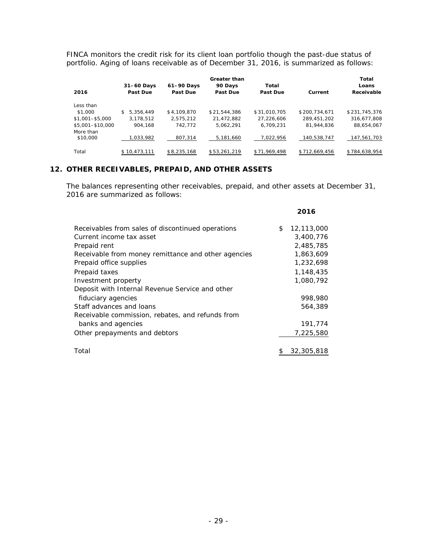FINCA monitors the credit risk for its client loan portfolio though the past-due status of portfolio. Aging of loans receivable as of December 31, 2016, is summarized as follows:

|                       |                 |             | <b>Greater than</b> |              |               | Total         |
|-----------------------|-----------------|-------------|---------------------|--------------|---------------|---------------|
|                       | $31-60$ Days    | 61-90 Days  | 90 Days             | Total        |               | Loans         |
| 2016                  | Past Due        | Past Due    | Past Due            | Past Due     | Current       | Receivable    |
| Less than             |                 |             |                     |              |               |               |
| \$1,000               | 5.356.449<br>\$ | \$4,109,870 | \$21.544.386        | \$31,010.705 | \$200.734.671 | \$231.745.376 |
| \$1,001-\$5,000       | 3.178.512       | 2.575.212   | 21.472.882          | 27,226,606   | 289.451.202   | 316,677,808   |
| \$5,001-\$10,000      | 904.168         | 742.772     | 5.062.291           | 6.709.231    | 81,944,836    | 88,654,067    |
| More than<br>\$10,000 | 1,033,982       | 807,314     | 5,181,660           | 7,022,956    | 140.538.747   | 147,561,703   |
| Total                 | \$10,473,111    | \$8,235,168 | \$53,261,219        | \$71,969,498 | \$712,669,456 | \$784,638,954 |

# **12. OTHER RECEIVABLES, PREPAID, AND OTHER ASSETS**

The balances representing other receivables, prepaid, and other assets at December 31, 2016 are summarized as follows:

**2016**

| Receivables from sales of discontinued operations   | \$<br>12,113,000 |
|-----------------------------------------------------|------------------|
| Current income tax asset                            | 3,400,776        |
| Prepaid rent                                        | 2,485,785        |
| Receivable from money remittance and other agencies | 1,863,609        |
| Prepaid office supplies                             | 1,232,698        |
| Prepaid taxes                                       | 1,148,435        |
| Investment property                                 | 1,080,792        |
| Deposit with Internal Revenue Service and other     |                  |
| fiduciary agencies                                  | 998,980          |
| Staff advances and loans                            | 564,389          |
| Receivable commission, rebates, and refunds from    |                  |
| banks and agencies                                  | 191,774          |
| Other prepayments and debtors                       | 7,225,580        |
| Total                                               | \$<br>32,305,818 |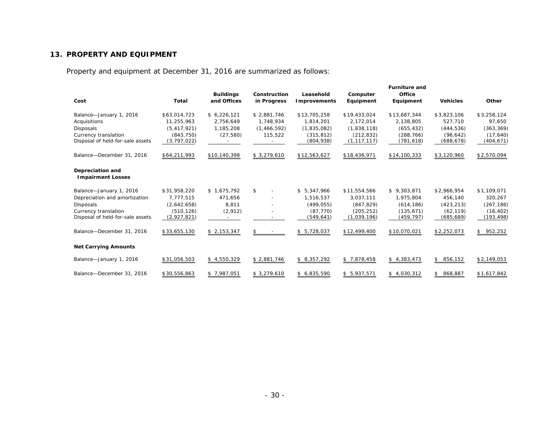#### **13. PROPERTY AND EQUIPMENT**

Property and equipment at December 31, 2016 are summarized as follows:

| Cost                                         | <b>Total</b>  | <b>Buildings</b><br>and Offices | Construction<br>in Progress | Leasehold<br><b>Improvements</b> | Computer<br>Equipment | <b>Furniture and</b><br>Office<br>Equipment | <b>Vehicles</b> | Other         |
|----------------------------------------------|---------------|---------------------------------|-----------------------------|----------------------------------|-----------------------|---------------------------------------------|-----------------|---------------|
| Balance-January 1, 2016                      | \$63,014,723  | \$6,226,121                     | \$2,881,746                 | \$13,705,258                     | \$19,433,024          | \$13,687,344                                | \$3,823,106     | \$3,258,124   |
| Acquisitions                                 | 11.255.963    | 2,756,649                       | 1.748.934                   | 1,814,201                        | 2.172.014             | 2,138,805                                   | 527,710         | 97,650        |
| Disposals                                    | (5, 417, 921) | 1.185.208                       | (1,466,592)                 | (1,835,082)                      | (1,838,118)           | (655, 432)                                  | (444, 536)      | (363, 369)    |
| Currency translation                         | (843, 750)    | (27, 580)                       | 115,522                     | (315.812)                        | (212, 832)            | (288, 766)                                  | (96, 642)       | (17,640)      |
| Disposal of held-for-sale assets             | (3, 797, 022) |                                 |                             | (804, 938)                       | (1, 117, 117)         | (781, 618)                                  | (688, 678)      | (404, 671)    |
| Balance-December 31, 2016                    | \$64,211,993  | \$10,140,398                    | \$3,279,610                 | \$12,563,627                     | \$18,436,971          | \$14,100,333                                | \$3,120,960     | \$2,570,094   |
| Depreciation and<br><b>Impairment Losses</b> |               |                                 |                             |                                  |                       |                                             |                 |               |
| Balance-January 1, 2016                      | \$31,958,220  | \$1,675,792                     | \$<br>$\overline{a}$        | \$5.347.966                      | \$11,554,566          | \$9,303,871                                 | \$2,966,954     | \$1,109,071   |
| Depreciation and amortization                | 7,777,515     | 471,656                         |                             | 1,516,537                        | 3,037,111             | 1,975,804                                   | 456,140         | 320,267       |
| <b>Disposals</b>                             | (2,642,658)   | 8,811                           |                             | (499, 055)                       | (847, 829)            | (614, 186)                                  | (423, 213)      | (267, 186)    |
| Currency translation                         | (510, 126)    | (2,912)                         |                             | (87, 770)                        | (205, 252)            | (135, 671)                                  | (62, 119)       | (16, 402)     |
| Disposal of held-for-sale assets             | (2,927,821)   |                                 |                             | (549, 641)                       | (1,039,196)           | (459, 797)                                  | (685, 689)      | (193, 498)    |
| Balance-December 31, 2016                    | \$33,655,130  | \$2,153,347                     | \$                          | \$5,728,037                      | \$12,499,400          | \$10,070,021                                | \$2,252,073     | 952,252<br>\$ |
| <b>Net Carrying Amounts</b>                  |               |                                 |                             |                                  |                       |                                             |                 |               |
| Balance-January 1, 2016                      | \$31,056,503  | \$4,550,329                     | \$2,881,746                 | \$8,357,292                      | \$7,878,458           | \$4,383,473                                 | \$856,152       | \$2,149,053   |
| Balance-December 31, 2016                    | \$30,556,863  | \$7,987,051                     | \$3,279,610                 | \$6,835,590                      | \$5,937,571           | \$4,030,312                                 | 868,887<br>\$   | \$1,617,842   |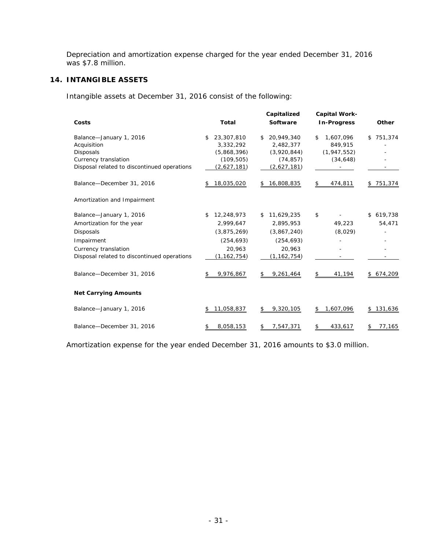Depreciation and amortization expense charged for the year ended December 31, 2016 was \$7.8 million.

#### **14. INTANGIBLE ASSETS**

Intangible assets at December 31, 2016 consist of the following:

|                                                                                                                                                                                            |                                                                                                    | Capitalized                                                                                          | <b>Capital Work-</b>                                     |                                      |
|--------------------------------------------------------------------------------------------------------------------------------------------------------------------------------------------|----------------------------------------------------------------------------------------------------|------------------------------------------------------------------------------------------------------|----------------------------------------------------------|--------------------------------------|
| Costs                                                                                                                                                                                      | <b>Total</b>                                                                                       | Software                                                                                             | <b>In-Progress</b>                                       | Other                                |
| Balance-January 1, 2016<br>Acquisition<br><b>Disposals</b><br>Currency translation<br>Disposal related to discontinued operations                                                          | 23,307,810<br>\$<br>3,332,292<br>(5,868,396)<br>(109, 505)<br>(2,627,181)                          | 20,949,340<br>\$<br>2,482,377<br>(3,920,844)<br>(74, 857)<br>(2,627,181)                             | 1,607,096<br>\$<br>849,915<br>(1, 947, 552)<br>(34, 648) | 751,374<br>\$                        |
| Balance-December 31, 2016                                                                                                                                                                  | 18,035,020                                                                                         | 16,808,835<br>\$                                                                                     | 474,811<br>\$                                            | 751,374                              |
| Amortization and Impairment                                                                                                                                                                |                                                                                                    |                                                                                                      |                                                          |                                      |
| Balance-January 1, 2016<br>Amortization for the year<br><b>Disposals</b><br>Impairment<br>Currency translation<br>Disposal related to discontinued operations<br>Balance-December 31, 2016 | 12,248,973<br>\$<br>2,999,647<br>(3,875,269)<br>(254, 693)<br>20.963<br>(1, 162, 754)<br>9,976,867 | \$11,629,235<br>2,895,953<br>(3,867,240)<br>(254, 693)<br>20.963<br>(1, 162, 754)<br>9,261,464<br>\$ | \$<br>49,223<br>(8,029)<br>41,194<br>\$                  | 619,738<br>\$<br>54,471<br>\$674,209 |
| <b>Net Carrying Amounts</b>                                                                                                                                                                |                                                                                                    |                                                                                                      |                                                          |                                      |
| Balance-January 1, 2016                                                                                                                                                                    | 11,058,837                                                                                         | 9,320,105<br>\$                                                                                      | 1,607,096<br>\$                                          | \$131,636                            |
| Balance-December 31, 2016                                                                                                                                                                  | 8,058,153<br>\$                                                                                    | 7,547,371<br>\$                                                                                      | 433,617<br>\$                                            | 77,165<br>\$                         |

Amortization expense for the year ended December 31, 2016 amounts to \$3.0 million.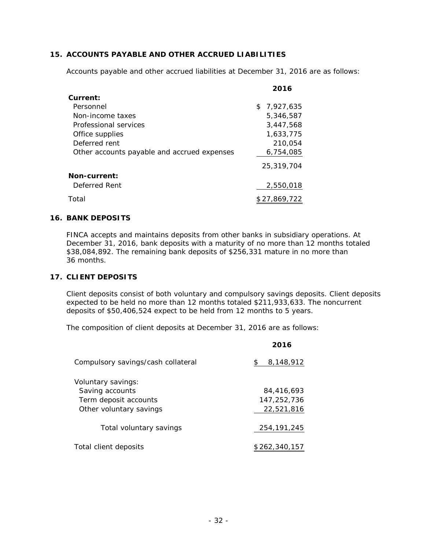#### **15. ACCOUNTS PAYABLE AND OTHER ACCRUED LIABILITIES**

Accounts payable and other accrued liabilities at December 31, 2016 are as follows:

|                                             | 2016         |
|---------------------------------------------|--------------|
| Current:                                    |              |
| Personnel                                   | \$7.927.635  |
| Non-income taxes                            | 5,346,587    |
| Professional services                       | 3.447.568    |
| Office supplies                             | 1.633.775    |
| Deferred rent                               | 210.054      |
| Other accounts payable and accrued expenses | 6,754,085    |
|                                             | 25,319,704   |
| <b>Non-current:</b>                         |              |
| Deferred Rent                               | 2,550,018    |
| Total                                       | \$27.869.722 |

#### **16. BANK DEPOSITS**

FINCA accepts and maintains deposits from other banks in subsidiary operations. At December 31, 2016, bank deposits with a maturity of no more than 12 months totaled \$38,084,892. The remaining bank deposits of \$256,331 mature in no more than 36 months.

#### **17. CLIENT DEPOSITS**

Client deposits consist of both voluntary and compulsory savings deposits. Client deposits expected to be held no more than 12 months totaled \$211,933,633. The noncurrent deposits of \$50,406,524 expect to be held from 12 months to 5 years.

The composition of client deposits at December 31, 2016 are as follows:

|                                    | 2016            |
|------------------------------------|-----------------|
| Compulsory savings/cash collateral | 8,148,912<br>\$ |
| Voluntary savings:                 |                 |
| Saving accounts                    | 84.416.693      |
| Term deposit accounts              | 147, 252, 736   |
| Other voluntary savings            | 22,521,816      |
| Total voluntary savings            | 254.191.245     |
| Total client deposits              | \$262,340,157   |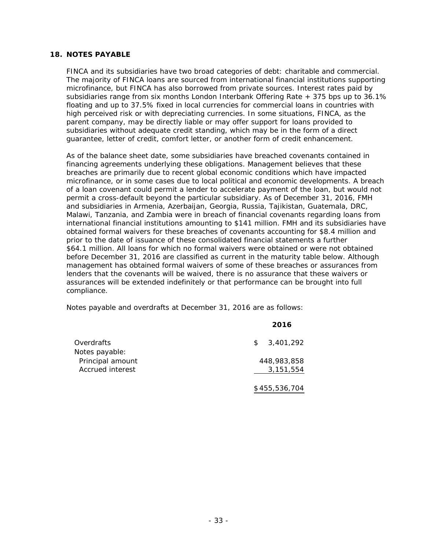#### **18. NOTES PAYABLE**

FINCA and its subsidiaries have two broad categories of debt: charitable and commercial. The majority of FINCA loans are sourced from international financial institutions supporting microfinance, but FINCA has also borrowed from private sources. Interest rates paid by subsidiaries range from six months London Interbank Offering Rate  $+375$  bps up to  $36.1\%$ floating and up to 37.5% fixed in local currencies for commercial loans in countries with high perceived risk or with depreciating currencies. In some situations, FINCA, as the parent company, may be directly liable or may offer support for loans provided to subsidiaries without adequate credit standing, which may be in the form of a direct guarantee, letter of credit, comfort letter, or another form of credit enhancement.

As of the balance sheet date, some subsidiaries have breached covenants contained in financing agreements underlying these obligations. Management believes that these breaches are primarily due to recent global economic conditions which have impacted microfinance, or in some cases due to local political and economic developments. A breach of a loan covenant could permit a lender to accelerate payment of the loan, but would not permit a cross-default beyond the particular subsidiary. As of December 31, 2016, FMH and subsidiaries in Armenia, Azerbaijan, Georgia, Russia, Tajikistan, Guatemala, DRC, Malawi, Tanzania, and Zambia were in breach of financial covenants regarding loans from international financial institutions amounting to \$141 million. FMH and its subsidiaries have obtained formal waivers for these breaches of covenants accounting for \$8.4 million and prior to the date of issuance of these consolidated financial statements a further \$64.1 million. All loans for which no formal waivers were obtained or were not obtained before December 31, 2016 are classified as current in the maturity table below. Although management has obtained formal waivers of some of these breaches or assurances from lenders that the covenants will be waived, there is no assurance that these waivers or assurances will be extended indefinitely or that performance can be brought into full compliance.

Notes payable and overdrafts at December 31, 2016 are as follows:

|                  | 2016            |
|------------------|-----------------|
| Overdrafts       | 3,401,292<br>\$ |
| Notes payable:   |                 |
| Principal amount | 448,983,858     |
| Accrued interest | 3, 151, 554     |
|                  |                 |
|                  | \$455,536,704   |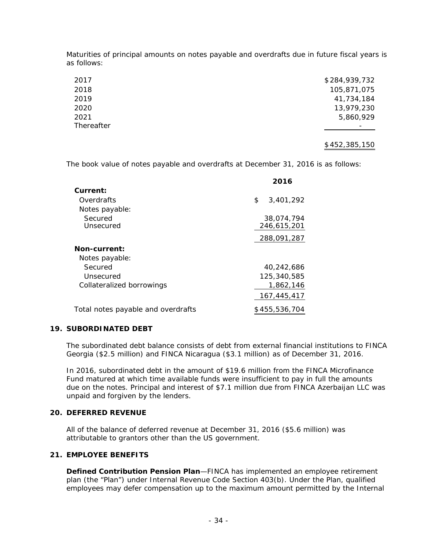Maturities of principal amounts on notes payable and overdrafts due in future fiscal years is as follows:

| \$284,939,732 |
|---------------|
| 105,871,075   |
| 41,734,184    |
| 13,979,230    |
| 5,860,929     |
|               |
|               |

#### \$452,385,150

The book value of notes payable and overdrafts at December 31, 2016 is as follows:

|                                    | 2016            |
|------------------------------------|-----------------|
| Current:                           |                 |
| Overdrafts                         | 3,401,292<br>\$ |
| Notes payable:                     |                 |
| Secured                            | 38,074,794      |
| Unsecured                          | 246,615,201     |
|                                    | 288,091,287     |
| <b>Non-current:</b>                |                 |
| Notes payable:                     |                 |
| Secured                            | 40.242.686      |
| Unsecured                          | 125,340,585     |
| Collateralized borrowings          | 1.862.146       |
|                                    | 167,445,417     |
| Total notes payable and overdrafts | \$455,536,704   |

#### **19. SUBORDINATED DEBT**

The subordinated debt balance consists of debt from external financial institutions to FINCA Georgia (\$2.5 million) and FINCA Nicaragua (\$3.1 million) as of December 31, 2016.

In 2016, subordinated debt in the amount of \$19.6 million from the FINCA Microfinance Fund matured at which time available funds were insufficient to pay in full the amounts due on the notes. Principal and interest of \$7.1 million due from FINCA Azerbaijan LLC was unpaid and forgiven by the lenders.

#### **20. DEFERRED REVENUE**

All of the balance of deferred revenue at December 31, 2016 (\$5.6 million) was attributable to grantors other than the US government.

#### **21. EMPLOYEE BENEFITS**

**Defined Contribution Pension Plan**—FINCA has implemented an employee retirement plan (the "Plan") under Internal Revenue Code Section 403(b). Under the Plan, qualified employees may defer compensation up to the maximum amount permitted by the Internal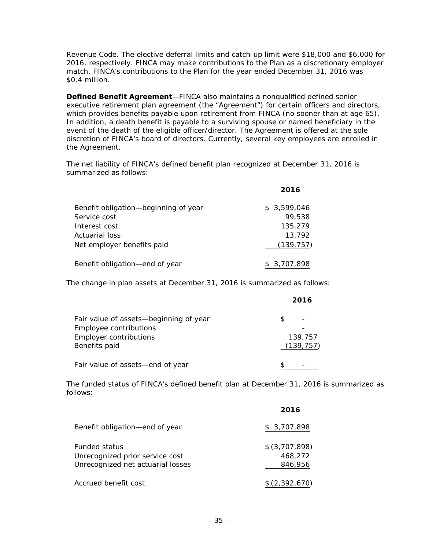Revenue Code. The elective deferral limits and catch-up limit were \$18,000 and \$6,000 for 2016, respectively. FINCA may make contributions to the Plan as a discretionary employer match. FINCA's contributions to the Plan for the year ended December 31, 2016 was \$0.4 million.

**Defined Benefit Agreement**—FINCA also maintains a nonqualified defined senior executive retirement plan agreement (the "Agreement") for certain officers and directors, which provides benefits payable upon retirement from FINCA (no sooner than at age 65). In addition, a death benefit is payable to a surviving spouse or named beneficiary in the event of the death of the eligible officer/director. The Agreement is offered at the sole discretion of FINCA's board of directors. Currently, several key employees are enrolled in the Agreement.

The net liability of FINCA's defined benefit plan recognized at December 31, 2016 is summarized as follows:

|                                      | 2016        |
|--------------------------------------|-------------|
| Benefit obligation-beginning of year | \$3.599.046 |
| Service cost                         | 99,538      |
| Interest cost                        | 135,279     |
| Actuarial loss                       | 13,792      |
| Net employer benefits paid           | (139, 757)  |
| Benefit obligation-end of year       | \$3,707,898 |

The change in plan assets at December 31, 2016 is summarized as follows:

|                                        | 2016       |
|----------------------------------------|------------|
| Fair value of assets—beginning of year | R          |
| Employee contributions                 |            |
| Employer contributions                 | 139,757    |
| Benefits paid                          | (139, 757) |
| Fair value of assets-end of year       |            |

The funded status of FINCA's defined benefit plan at December 31, 2016 is summarized as follows:

|                                                                                              | 2016                                 |
|----------------------------------------------------------------------------------------------|--------------------------------------|
| Benefit obligation-end of year                                                               | \$3,707,898                          |
| <b>Funded status</b><br>Unrecognized prior service cost<br>Unrecognized net actuarial losses | \$ (3,707,898)<br>468,272<br>846,956 |
| Accrued benefit cost                                                                         | \$(2,392,670)                        |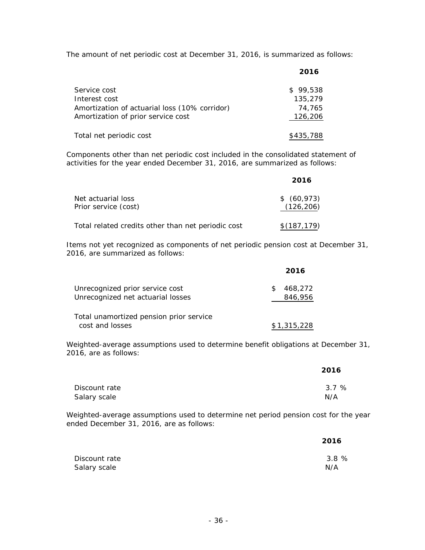The amount of net periodic cost at December 31, 2016, is summarized as follows:

|                                               | 2016      |
|-----------------------------------------------|-----------|
| Service cost                                  | \$99.538  |
| Interest cost                                 | 135,279   |
| Amortization of actuarial loss (10% corridor) | 74,765    |
| Amortization of prior service cost            | 126,206   |
| Total net periodic cost                       | \$435,788 |

Components other than net periodic cost included in the consolidated statement of activities for the year ended December 31, 2016, are summarized as follows:

|                                                    | 2016                         |
|----------------------------------------------------|------------------------------|
| Net actuarial loss<br>Prior service (cost)         | $$^{(60,973)}$<br>(126, 206) |
| Total related credits other than net periodic cost | \$(187, 179)                 |

Items not yet recognized as components of net periodic pension cost at December 31, 2016, are summarized as follows:

|                                                                      | 2016               |
|----------------------------------------------------------------------|--------------------|
| Unrecognized prior service cost<br>Unrecognized net actuarial losses | 468,272<br>846,956 |
| Total unamortized pension prior service<br>cost and losses           | \$1,315,228        |

Weighted-average assumptions used to determine benefit obligations at December 31, 2016, are as follows:

|               | 2016 |
|---------------|------|
| Discount rate | 3.7% |
| Salary scale  | N/A  |

Weighted-average assumptions used to determine net period pension cost for the year ended December 31, 2016, are as follows:

|               | 2016 |
|---------------|------|
| Discount rate | 3.8% |
| Salary scale  | N/A  |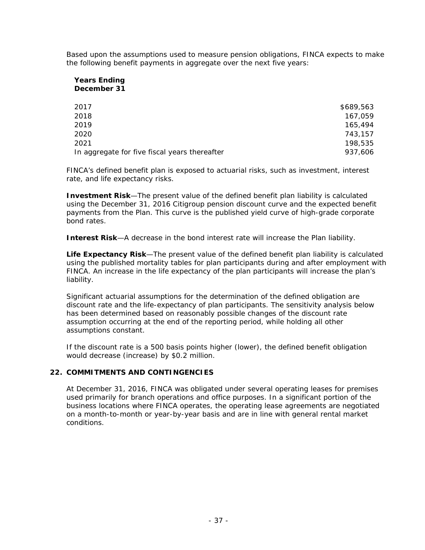Based upon the assumptions used to measure pension obligations, FINCA expects to make the following benefit payments in aggregate over the next five years:

#### **Years Ending December 31**

| 2017                                          | \$689.563 |
|-----------------------------------------------|-----------|
| 2018                                          | 167.059   |
| 2019                                          | 165,494   |
| 2020                                          | 743.157   |
| 2021                                          | 198,535   |
| In aggregate for five fiscal years thereafter | 937,606   |

FINCA's defined benefit plan is exposed to actuarial risks, such as investment, interest rate, and life expectancy risks.

*Investment Risk*—The present value of the defined benefit plan liability is calculated using the December 31, 2016 Citigroup pension discount curve and the expected benefit payments from the Plan. This curve is the published yield curve of high-grade corporate bond rates.

*Interest Risk*—A decrease in the bond interest rate will increase the Plan liability.

*Life Expectancy Risk*—The present value of the defined benefit plan liability is calculated using the published mortality tables for plan participants during and after employment with FINCA. An increase in the life expectancy of the plan participants will increase the plan's liability.

Significant actuarial assumptions for the determination of the defined obligation are discount rate and the life-expectancy of plan participants. The sensitivity analysis below has been determined based on reasonably possible changes of the discount rate assumption occurring at the end of the reporting period, while holding all other assumptions constant.

If the discount rate is a 500 basis points higher (lower), the defined benefit obligation would decrease (increase) by \$0.2 million.

#### **22. COMMITMENTS AND CONTINGENCIES**

At December 31, 2016, FINCA was obligated under several operating leases for premises used primarily for branch operations and office purposes. In a significant portion of the business locations where FINCA operates, the operating lease agreements are negotiated on a month-to-month or year-by-year basis and are in line with general rental market conditions.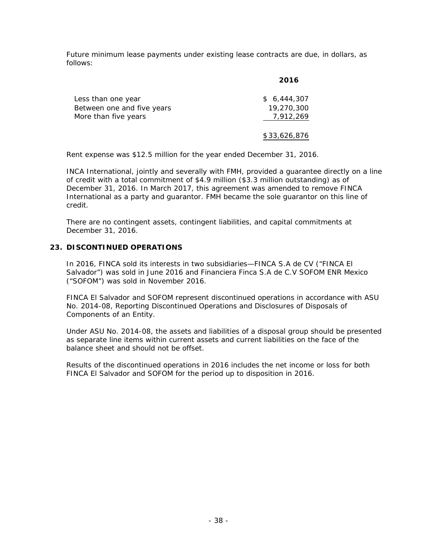Future minimum lease payments under existing lease contracts are due, in dollars, as follows:

|                            | 2016         |
|----------------------------|--------------|
| Less than one year         | \$6.444.307  |
| Between one and five years | 19,270,300   |
| More than five years       | 7,912,269    |
|                            | \$33,626,876 |

Rent expense was \$12.5 million for the year ended December 31, 2016.

INCA International, jointly and severally with FMH, provided a guarantee directly on a line of credit with a total commitment of \$4.9 million (\$3.3 million outstanding) as of December 31, 2016. In March 2017, this agreement was amended to remove FINCA International as a party and guarantor. FMH became the sole guarantor on this line of credit.

There are no contingent assets, contingent liabilities, and capital commitments at December 31, 2016.

#### **23. DISCONTINUED OPERATIONS**

In 2016, FINCA sold its interests in two subsidiaries—FINCA S.A de CV ("FINCA El Salvador") was sold in June 2016 and Financiera Finca S.A de C.V SOFOM ENR Mexico ("SOFOM") was sold in November 2016.

FINCA El Salvador and SOFOM represent discontinued operations in accordance with ASU No. 2014-08, *Reporting Discontinued Operations and Disclosures of Disposals of Components of an Entity*.

Under ASU No. 2014-08, the assets and liabilities of a disposal group should be presented as separate line items within current assets and current liabilities on the face of the balance sheet and should not be offset.

Results of the discontinued operations in 2016 includes the net income or loss for both FINCA El Salvador and SOFOM for the period up to disposition in 2016.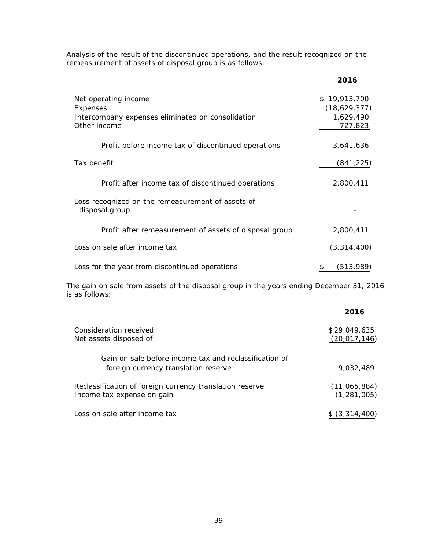Analysis of the result of the discontinued operations, and the result recognized on the remeasurement of assets of disposal group is as follows:

|                                                                                                       | 2016                                                 |
|-------------------------------------------------------------------------------------------------------|------------------------------------------------------|
| Net operating income<br>Expenses<br>Intercompany expenses eliminated on consolidation<br>Other income | \$19,913,700<br>(18,629,377)<br>1,629,490<br>727,823 |
| Profit before income tax of discontinued operations                                                   | 3,641,636                                            |
| Tax benefit                                                                                           | (841, 225)                                           |
| Profit after income tax of discontinued operations                                                    | 2,800,411                                            |
| Loss recognized on the remeasurement of assets of<br>disposal group                                   |                                                      |
| Profit after remeasurement of assets of disposal group                                                | 2,800,411                                            |
| Loss on sale after income tax                                                                         | (3,314,400)                                          |
| Loss for the year from discontinued operations                                                        | (513,989)<br>\$                                      |

The gain on sale from assets of the disposal group in the years ending December 31, 2016 is as follows:

|                                                                                                | 2016                           |
|------------------------------------------------------------------------------------------------|--------------------------------|
| Consideration received<br>Net assets disposed of                                               | \$29,049,635<br>(20, 017, 146) |
| Gain on sale before income tax and reclassification of<br>foreign currency translation reserve | 9.032.489                      |
| Reclassification of foreign currency translation reserve<br>Income tax expense on gain         | (11,065,884)<br>(1, 281, 005)  |
| Loss on sale after income tax                                                                  | \$ (3,314,400)                 |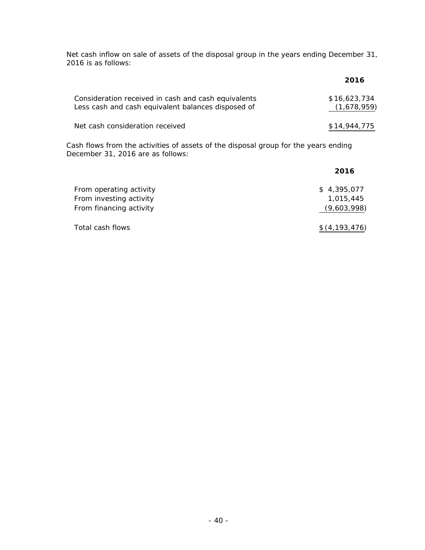Net cash inflow on sale of assets of the disposal group in the years ending December 31, 2016 is as follows:

|                                                                                                           | 2016                        |
|-----------------------------------------------------------------------------------------------------------|-----------------------------|
| Consideration received in cash and cash equivalents<br>Less cash and cash equivalent balances disposed of | \$16,623,734<br>(1,678,959) |
| Net cash consideration received                                                                           | \$14,944,775                |

Cash flows from the activities of assets of the disposal group for the years ending December 31, 2016 are as follows:

|                                                                               | 2016                                    |
|-------------------------------------------------------------------------------|-----------------------------------------|
| From operating activity<br>From investing activity<br>From financing activity | \$4,395,077<br>1,015,445<br>(9,603,998) |
| Total cash flows                                                              | \$(4, 193, 476)                         |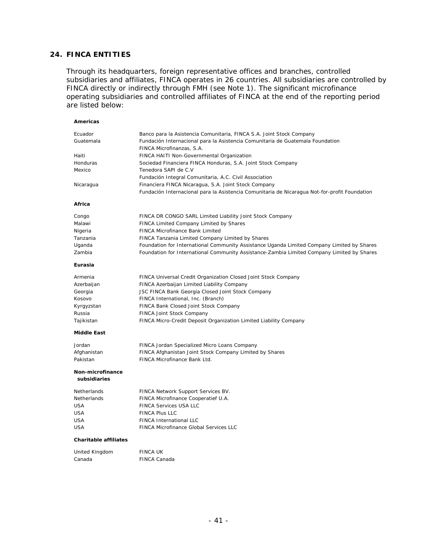#### **24. FINCA ENTITIES**

Through its headquarters, foreign representative offices and branches, controlled subsidiaries and affiliates, FINCA operates in 26 countries. All subsidiaries are controlled by FINCA directly or indirectly through FMH (see Note 1). The significant microfinance operating subsidiaries and controlled affiliates of FINCA at the end of the reporting period are listed below:

| Americas                         |                                                                                                             |
|----------------------------------|-------------------------------------------------------------------------------------------------------------|
| Ecuador                          | Banco para la Asistencia Comunitaria, FINCA S.A. Joint Stock Company                                        |
| Guatemala                        | Fundación Internacional para la Asistencia Comunitaria de Guatemala Foundation<br>FINCA Microfinanzas, S.A. |
| Haiti                            | FINCA HAITI Non-Governmental Organization                                                                   |
| Honduras                         | Sociedad Financiera FINCA Honduras, S.A. Joint Stock Company                                                |
| Mexico                           | Tenedora SAPI de C.V                                                                                        |
|                                  | Fundación Integral Comunitaria, A.C. Civil Association                                                      |
| Nicaragua                        | Financiera FINCA Nicaragua, S.A. Joint Stock Company                                                        |
|                                  | Fundación Internacional para la Asistencia Comunitaria de Nicaragua Not-for-profit Foundation               |
| Africa                           |                                                                                                             |
| Congo                            | FINCA DR CONGO SARL Limited Liability Joint Stock Company                                                   |
| Malawi                           | FINCA Limited Company Limited by Shares                                                                     |
| Nigeria                          | <b>FINCA Microfinance Bank Limited</b>                                                                      |
| Tanzania                         | FINCA Tanzania Limited Company Limited by Shares                                                            |
| Uganda                           | Foundation for International Community Assistance Uganda Limited Company Limited by Shares                  |
| Zambia                           | Foundation for International Community Assistance-Zambia Limited Company Limited by Shares                  |
| Eurasia                          |                                                                                                             |
| Armenia                          | FINCA Universal Credit Organization Closed Joint Stock Company                                              |
| Azerbaijan                       | FINCA Azerbaijan Limited Liability Company                                                                  |
| Georgia                          | JSC FINCA Bank Georgia Closed Joint Stock Company                                                           |
| Kosovo                           | FINCA International, Inc. (Branch)                                                                          |
| Kyrgyzstan                       | FINCA Bank Closed Joint Stock Company                                                                       |
| Russia                           | FINCA Joint Stock Company                                                                                   |
| Tajikistan                       | FINCA Micro-Credit Deposit Organization Limited Liability Company                                           |
| <b>Middle East</b>               |                                                                                                             |
| Jordan                           | FINCA Jordan Specialized Micro Loans Company                                                                |
| Afghanistan                      | FINCA Afghanistan Joint Stock Company Limited by Shares                                                     |
| Pakistan                         | FINCA Microfinance Bank Ltd.                                                                                |
| Non-microfinance<br>subsidiaries |                                                                                                             |
| Netherlands                      | FINCA Network Support Services BV.                                                                          |
| Netherlands                      | FINCA Microfinance Cooperatief U.A.                                                                         |
| USA                              | FINCA Services USA LLC                                                                                      |
| <b>USA</b>                       | <b>FINCA Plus LLC</b>                                                                                       |
| <b>USA</b>                       | <b>FINCA International LLC</b>                                                                              |
| <b>USA</b>                       | <b>FINCA Microfinance Global Services LLC</b>                                                               |
| <b>Charitable affiliates</b>     |                                                                                                             |
| United Kingdom                   | <b>FINCA UK</b>                                                                                             |
| Canada                           | <b>FINCA Canada</b>                                                                                         |
|                                  |                                                                                                             |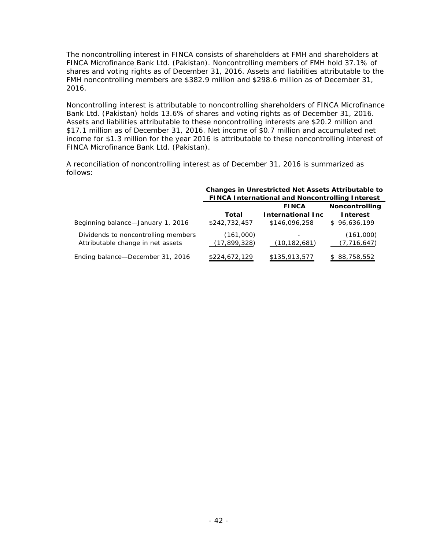The noncontrolling interest in FINCA consists of shareholders at FMH and shareholders at FINCA Microfinance Bank Ltd. (Pakistan). Noncontrolling members of FMH hold 37.1% of shares and voting rights as of December 31, 2016. Assets and liabilities attributable to the FMH noncontrolling members are \$382.9 million and \$298.6 million as of December 31, 2016.

Noncontrolling interest is attributable to noncontrolling shareholders of FINCA Microfinance Bank Ltd. (Pakistan) holds 13.6% of shares and voting rights as of December 31, 2016. Assets and liabilities attributable to these noncontrolling interests are \$20.2 million and \$17.1 million as of December 31, 2016. Net income of \$0.7 million and accumulated net income for \$1.3 million for the year 2016 is attributable to these noncontrolling interest of FINCA Microfinance Bank Ltd. (Pakistan).

A reconciliation of noncontrolling interest as of December 31, 2016 is summarized as follows:

|                                                                          | <b>Changes in Unrestricted Net Assets Attributable to</b> |                                            |                            |  |  |
|--------------------------------------------------------------------------|-----------------------------------------------------------|--------------------------------------------|----------------------------|--|--|
|                                                                          | <b>FINCA International and Noncontrolling Interest</b>    |                                            |                            |  |  |
|                                                                          | <b>Noncontrolling</b><br><b>FINCA</b>                     |                                            |                            |  |  |
|                                                                          | Total                                                     | <b>International Inc.</b>                  | <b>Interest</b>            |  |  |
| Beginning balance-January 1, 2016                                        | \$242,732,457                                             | \$146,096,258                              | \$96,636,199               |  |  |
| Dividends to noncontrolling members<br>Attributable change in net assets | (161,000)<br>(17, 899, 328)                               | $\overline{\phantom{a}}$<br>(10, 182, 681) | (161,000)<br>(7, 716, 647) |  |  |
| Ending balance-December 31, 2016                                         | \$224,672,129                                             | \$135,913,577                              | 88,758,552                 |  |  |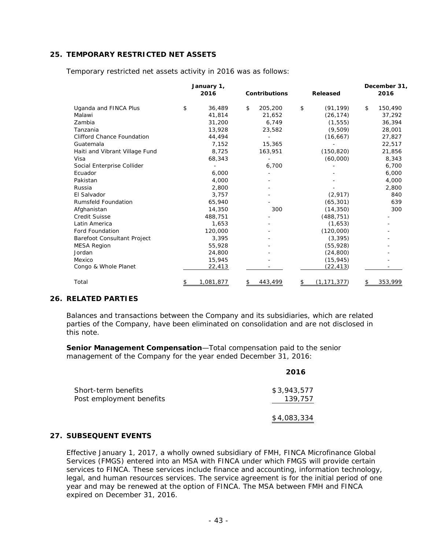#### **25. TEMPORARY RESTRICTED NET ASSETS**

|                                   | January 1, |           |    |                      | December 31,        |    |         |
|-----------------------------------|------------|-----------|----|----------------------|---------------------|----|---------|
|                                   |            | 2016      |    | <b>Contributions</b> | Released            |    | 2016    |
| Uganda and FINCA Plus             | \$         | 36,489    | \$ | 205,200              | \$<br>(91, 199)     | \$ | 150,490 |
| Malawi                            |            | 41,814    |    | 21,652               | (26, 174)           |    | 37,292  |
| Zambia                            |            | 31,200    |    | 6,749                | (1, 555)            |    | 36,394  |
| Tanzania                          |            | 13,928    |    | 23,582               | (9,509)             |    | 28,001  |
| <b>Clifford Chance Foundation</b> |            | 44,494    |    |                      | (16, 667)           |    | 27,827  |
| Guatemala                         |            | 7,152     |    | 15,365               |                     |    | 22,517  |
| Haiti and Vibrant Village Fund    |            | 8,725     |    | 163,951              | (150, 820)          |    | 21,856  |
| Visa                              |            | 68,343    |    |                      | (60,000)            |    | 8,343   |
| Social Enterprise Collider        |            |           |    | 6,700                |                     |    | 6,700   |
| Ecuador                           |            | 6.000     |    |                      |                     |    | 6,000   |
| Pakistan                          |            | 4,000     |    |                      |                     |    | 4,000   |
| Russia                            |            | 2,800     |    |                      |                     |    | 2,800   |
| El Salvador                       |            | 3,757     |    |                      | (2,917)             |    | 840     |
| <b>Rumsfeld Foundation</b>        |            | 65,940    |    |                      | (65, 301)           |    | 639     |
| Afghanistan                       |            | 14,350    |    | 300                  | (14, 350)           |    | 300     |
| <b>Credit Suisse</b>              |            | 488,751   |    |                      | (488, 751)          |    |         |
| Latin America                     |            | 1,653     |    |                      | (1,653)             |    |         |
| <b>Ford Foundation</b>            |            | 120,000   |    |                      | (120,000)           |    |         |
| Barefoot Consultant Project       |            | 3,395     |    |                      | (3, 395)            |    |         |
| <b>MESA Region</b>                |            | 55,928    |    |                      | (55, 928)           |    |         |
| Jordan                            |            | 24,800    |    |                      | (24, 800)           |    |         |
| Mexico                            |            | 15,945    |    |                      | (15, 945)           |    |         |
| Congo & Whole Planet              |            | 22,413    |    |                      | (22,413)            |    |         |
| Total                             | \$         | 1,081,877 | S  | 443,499              | \$<br>(1, 171, 377) |    | 353,999 |

Temporary restricted net assets activity in 2016 was as follows:

#### **26. RELATED PARTIES**

Balances and transactions between the Company and its subsidiaries, which are related parties of the Company, have been eliminated on consolidation and are not disclosed in this note.

**Senior Management Compensation**—Total compensation paid to the senior management of the Company for the year ended December 31, 2016:

|                                                 | 2016                   |
|-------------------------------------------------|------------------------|
| Short-term benefits<br>Post employment benefits | \$3,943,577<br>139,757 |
|                                                 | \$4,083,334            |

#### **27. SUBSEQUENT EVENTS**

Effective January 1, 2017, a wholly owned subsidiary of FMH, FINCA Microfinance Global Services (FMGS) entered into an MSA with FINCA under which FMGS will provide certain services to FINCA. These services include finance and accounting, information technology, legal, and human resources services. The service agreement is for the initial period of one year and may be renewed at the option of FINCA. The MSA between FMH and FINCA expired on December 31, 2016.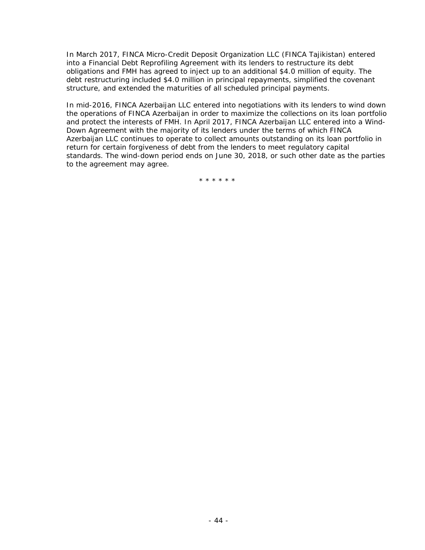In March 2017, FINCA Micro-Credit Deposit Organization LLC (FINCA Tajikistan) entered into a Financial Debt Reprofiling Agreement with its lenders to restructure its debt obligations and FMH has agreed to inject up to an additional \$4.0 million of equity. The debt restructuring included \$4.0 million in principal repayments, simplified the covenant structure, and extended the maturities of all scheduled principal payments.

In mid-2016, FINCA Azerbaijan LLC entered into negotiations with its lenders to wind down the operations of FINCA Azerbaijan in order to maximize the collections on its loan portfolio and protect the interests of FMH. In April 2017, FINCA Azerbaijan LLC entered into a Wind-Down Agreement with the majority of its lenders under the terms of which FINCA Azerbaijan LLC continues to operate to collect amounts outstanding on its loan portfolio in return for certain forgiveness of debt from the lenders to meet regulatory capital standards. The wind-down period ends on June 30, 2018, or such other date as the parties to the agreement may agree.

\*\*\*\*\*\*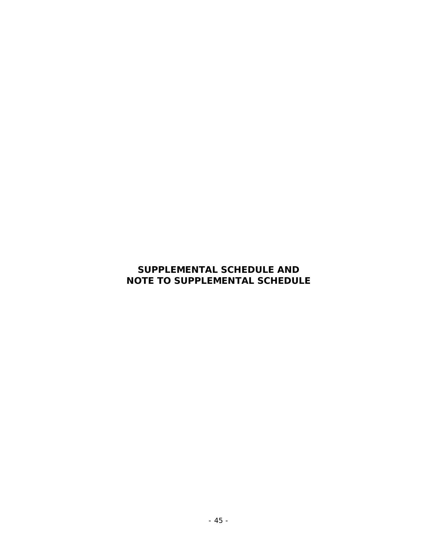# **SUPPLEMENTAL SCHEDULE AND NOTE TO SUPPLEMENTAL SCHEDULE**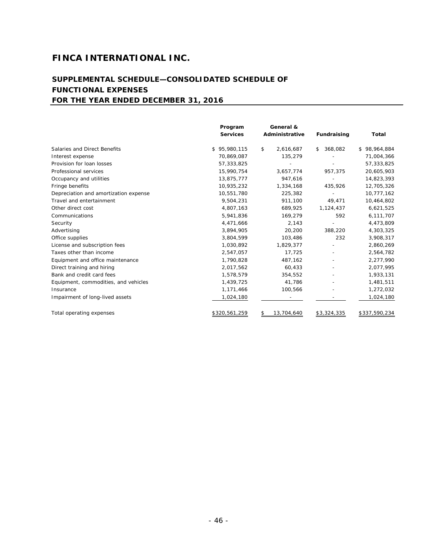# **SUPPLEMENTAL SCHEDULE—CONSOLIDATED SCHEDULE OF FUNCTIONAL EXPENSES FOR THE YEAR ENDED DECEMBER 31, 2016**

|                                       | Program<br><b>Services</b> | General &<br>Administrative | Fundraising              | Total         |
|---------------------------------------|----------------------------|-----------------------------|--------------------------|---------------|
| Salaries and Direct Benefits          | \$95,980,115               | \$<br>2,616,687             | 368,082<br>\$            | \$98,964,884  |
| Interest expense                      | 70,869,087                 | 135,279                     |                          | 71,004,366    |
| Provision for loan losses             | 57,333,825                 |                             |                          | 57,333,825    |
| Professional services                 | 15,990,754                 | 3,657,774                   | 957,375                  | 20,605,903    |
| Occupancy and utilities               | 13,875,777                 | 947,616                     |                          | 14,823,393    |
| Fringe benefits                       | 10,935,232                 | 1,334,168                   | 435,926                  | 12,705,326    |
| Depreciation and amortization expense | 10,551,780                 | 225,382                     |                          | 10,777,162    |
| Travel and entertainment              | 9,504,231                  | 911,100                     | 49,471                   | 10,464,802    |
| Other direct cost                     | 4,807,163                  | 689,925                     | 1,124,437                | 6,621,525     |
| Communications                        | 5,941,836                  | 169,279                     | 592                      | 6,111,707     |
| Security                              | 4,471,666                  | 2,143                       |                          | 4,473,809     |
| Advertising                           | 3,894,905                  | 20,200                      | 388,220                  | 4,303,325     |
| Office supplies                       | 3,804,599                  | 103,486                     | 232                      | 3,908,317     |
| License and subscription fees         | 1,030,892                  | 1,829,377                   |                          | 2,860,269     |
| Taxes other than income               | 2,547,057                  | 17,725                      | $\overline{\phantom{a}}$ | 2,564,782     |
| Equipment and office maintenance      | 1,790,828                  | 487,162                     |                          | 2,277,990     |
| Direct training and hiring            | 2,017,562                  | 60,433                      |                          | 2,077,995     |
| Bank and credit card fees             | 1,578,579                  | 354,552                     |                          | 1,933,131     |
| Equipment, commodities, and vehicles  | 1,439,725                  | 41,786                      |                          | 1,481,511     |
| Insurance                             | 1,171,466                  | 100,566                     | $\overline{\phantom{a}}$ | 1,272,032     |
| Impairment of long-lived assets       | 1,024,180                  |                             |                          | 1,024,180     |
| Total operating expenses              | \$320,561,259              | 13,704,640<br>\$            | \$3,324,335              | \$337,590,234 |